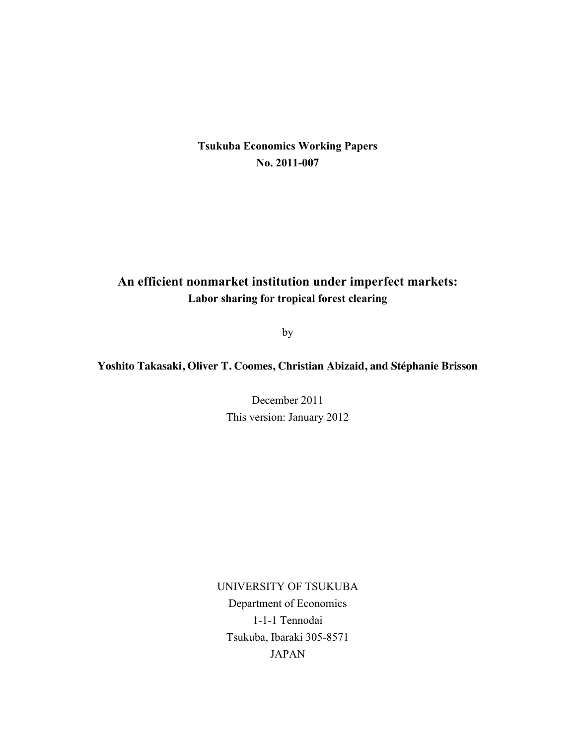# **Tsukuba Economics Working Papers No. 2011-007**

# **An efficient nonmarket institution under imperfect markets: Labor sharing for tropical forest clearing**

by

# **Yoshito Takasaki, Oliver T. Coomes, Christian Abizaid, and Stéphanie Brisson**

December 2011 This version: January 2012

UNIVERSITY OF TSUKUBA Department of Economics 1-1-1 Tennodai Tsukuba, Ibaraki 305-8571 JAPAN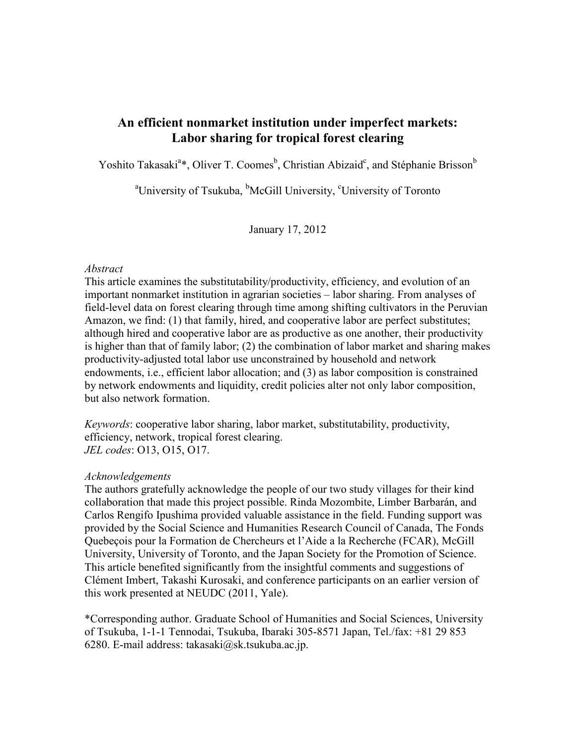# **An efficient nonmarket institution under imperfect markets: Labor sharing for tropical forest clearing**

Yoshito Takasaki<sup>a</sup>\*, Oliver T. Coomes<sup>b</sup>, Christian Abizaid<sup>c</sup>, and Stéphanie Brisson<sup>b</sup>

<sup>a</sup> University of Tsukuba, <sup>b</sup>McGill University, <sup>c</sup>University of Toronto

January 17, 2012

# *Abstract*

This article examines the substitutability/productivity, efficiency, and evolution of an important nonmarket institution in agrarian societies – labor sharing. From analyses of field-level data on forest clearing through time among shifting cultivators in the Peruvian Amazon, we find: (1) that family, hired, and cooperative labor are perfect substitutes; although hired and cooperative labor are as productive as one another, their productivity is higher than that of family labor; (2) the combination of labor market and sharing makes productivity-adjusted total labor use unconstrained by household and network endowments, i.e., efficient labor allocation; and (3) as labor composition is constrained by network endowments and liquidity, credit policies alter not only labor composition, but also network formation.

*Keywords*: cooperative labor sharing, labor market, substitutability, productivity, efficiency, network, tropical forest clearing. *JEL codes*: O13, O15, O17.

# *Acknowledgements*

The authors gratefully acknowledge the people of our two study villages for their kind collaboration that made this project possible. Rinda Mozombite, Limber Barbarán, and Carlos Rengifo Ipushima provided valuable assistance in the field. Funding support was provided by the Social Science and Humanities Research Council of Canada, The Fonds Quebeçois pour la Formation de Chercheurs et l'Aide a la Recherche (FCAR), McGill University, University of Toronto, and the Japan Society for the Promotion of Science. This article benefited significantly from the insightful comments and suggestions of Clément Imbert, Takashi Kurosaki, and conference participants on an earlier version of this work presented at NEUDC (2011, Yale).

\*Corresponding author. Graduate School of Humanities and Social Sciences, University of Tsukuba, 1-1-1 Tennodai, Tsukuba, Ibaraki 305-8571 Japan, Tel./fax: +81 29 853 6280. E-mail address: takasaki $@$ sk.tsukuba.ac.jp.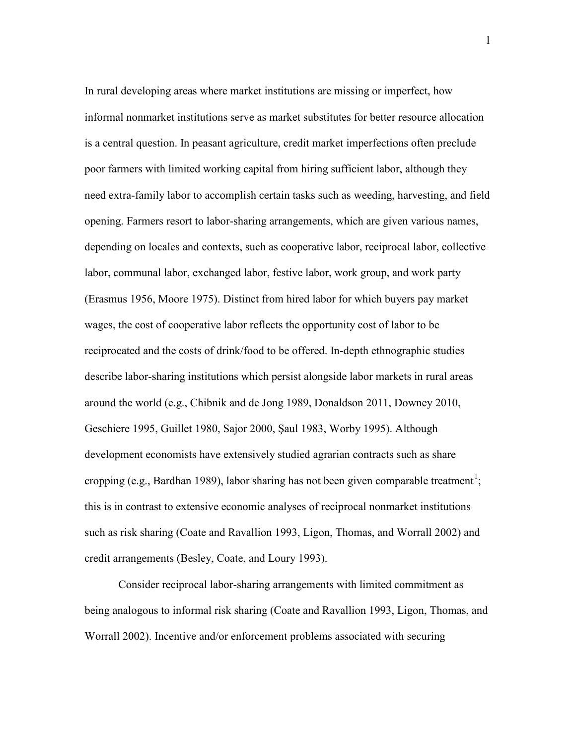In rural developing areas where market institutions are missing or imperfect, how informal nonmarket institutions serve as market substitutes for better resource allocation is a central question. In peasant agriculture, credit market imperfections often preclude poor farmers with limited working capital from hiring sufficient labor, although they need extra-family labor to accomplish certain tasks such as weeding, harvesting, and field opening. Farmers resort to labor-sharing arrangements, which are given various names, depending on locales and contexts, such as cooperative labor, reciprocal labor, collective labor, communal labor, exchanged labor, festive labor, work group, and work party (Erasmus 1956, Moore 1975). Distinct from hired labor for which buyers pay market wages, the cost of cooperative labor reflects the opportunity cost of labor to be reciprocated and the costs of drink/food to be offered. In-depth ethnographic studies describe labor-sharing institutions which persist alongside labor markets in rural areas around the world (e.g., Chibnik and de Jong 1989, Donaldson 2011, Downey 2010, Geschiere 1995, Guillet 1980, Sajor 2000, Saul 1983, Worby 1995). Although development economists have extensively studied agrarian contracts such as share cropping (e.g., Bardhan 1989), labor sharing has not been given comparable treatment<sup>1</sup>; this is in contrast to extensive economic analyses of reciprocal nonmarket institutions such as risk sharing (Coate and Ravallion 1993, Ligon, Thomas, and Worrall 2002) and credit arrangements (Besley, Coate, and Loury 1993).

Consider reciprocal labor-sharing arrangements with limited commitment as being analogous to informal risk sharing (Coate and Ravallion 1993, Ligon, Thomas, and Worrall 2002). Incentive and/or enforcement problems associated with securing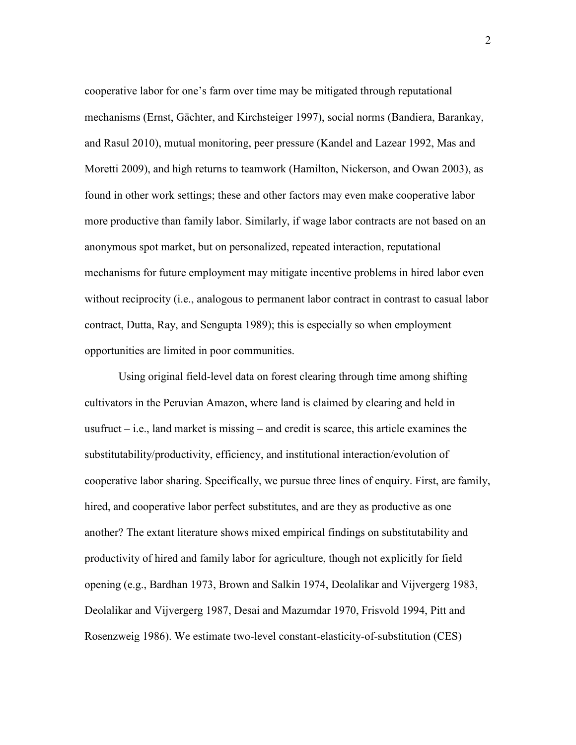cooperative labor for one's farm over time may be mitigated through reputational mechanisms (Ernst, Gächter, and Kirchsteiger 1997), social norms (Bandiera, Barankay, and Rasul 2010), mutual monitoring, peer pressure (Kandel and Lazear 1992, Mas and Moretti 2009), and high returns to teamwork (Hamilton, Nickerson, and Owan 2003), as found in other work settings; these and other factors may even make cooperative labor more productive than family labor. Similarly, if wage labor contracts are not based on an anonymous spot market, but on personalized, repeated interaction, reputational mechanisms for future employment may mitigate incentive problems in hired labor even without reciprocity (i.e., analogous to permanent labor contract in contrast to casual labor contract, Dutta, Ray, and Sengupta 1989); this is especially so when employment opportunities are limited in poor communities.

Using original field-level data on forest clearing through time among shifting cultivators in the Peruvian Amazon, where land is claimed by clearing and held in usufruct  $-$  i.e., land market is missing  $-$  and credit is scarce, this article examines the substitutability/productivity, efficiency, and institutional interaction/evolution of cooperative labor sharing. Specifically, we pursue three lines of enquiry. First, are family, hired, and cooperative labor perfect substitutes, and are they as productive as one another? The extant literature shows mixed empirical findings on substitutability and productivity of hired and family labor for agriculture, though not explicitly for field opening (e.g., Bardhan 1973, Brown and Salkin 1974, Deolalikar and Vijvergerg 1983, Deolalikar and Vijvergerg 1987, Desai and Mazumdar 1970, Frisvold 1994, Pitt and Rosenzweig 1986). We estimate two-level constant-elasticity-of-substitution (CES)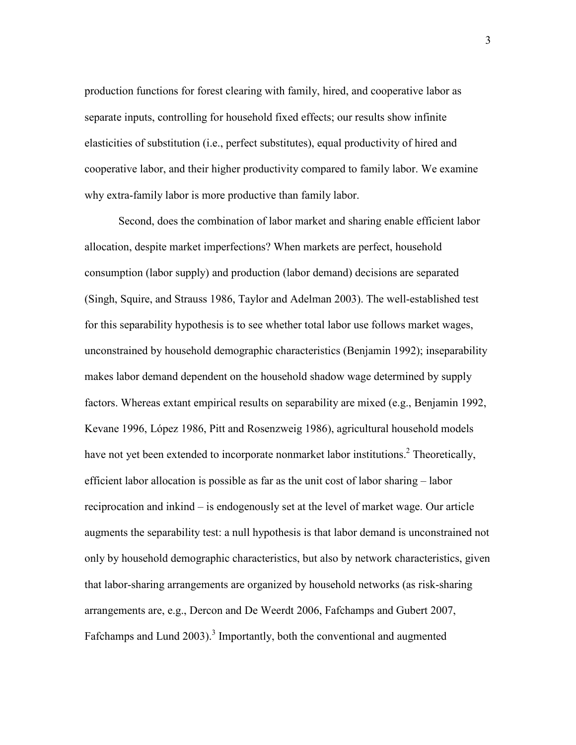production functions for forest clearing with family, hired, and cooperative labor as separate inputs, controlling for household fixed effects; our results show infinite elasticities of substitution (i.e., perfect substitutes), equal productivity of hired and cooperative labor, and their higher productivity compared to family labor. We examine why extra-family labor is more productive than family labor.

Second, does the combination of labor market and sharing enable efficient labor allocation, despite market imperfections? When markets are perfect, household consumption (labor supply) and production (labor demand) decisions are separated (Singh, Squire, and Strauss 1986, Taylor and Adelman 2003). The well-established test for this separability hypothesis is to see whether total labor use follows market wages, unconstrained by household demographic characteristics (Benjamin 1992); inseparability makes labor demand dependent on the household shadow wage determined by supply factors. Whereas extant empirical results on separability are mixed (e.g., Benjamin 1992, Kevane 1996, López 1986, Pitt and Rosenzweig 1986), agricultural household models have not yet been extended to incorporate nonmarket labor institutions.<sup>2</sup> Theoretically, efficient labor allocation is possible as far as the unit cost of labor sharing – labor reciprocation and inkind – is endogenously set at the level of market wage. Our article augments the separability test: a null hypothesis is that labor demand is unconstrained not only by household demographic characteristics, but also by network characteristics, given that labor-sharing arrangements are organized by household networks (as risk-sharing arrangements are, e.g., Dercon and De Weerdt 2006, Fafchamps and Gubert 2007, Fafchamps and Lund 2003).<sup>3</sup> Importantly, both the conventional and augmented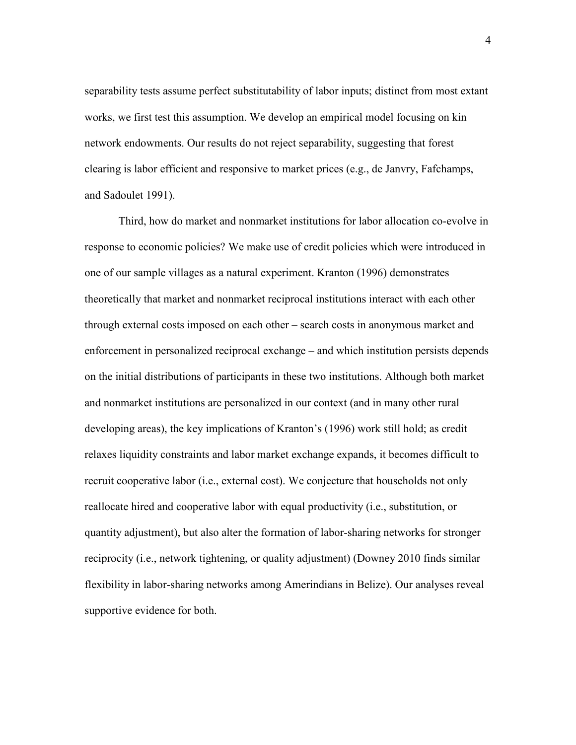separability tests assume perfect substitutability of labor inputs; distinct from most extant works, we first test this assumption. We develop an empirical model focusing on kin network endowments. Our results do not reject separability, suggesting that forest clearing is labor efficient and responsive to market prices (e.g., de Janvry, Fafchamps, and Sadoulet 1991).

Third, how do market and nonmarket institutions for labor allocation co-evolve in response to economic policies? We make use of credit policies which were introduced in one of our sample villages as a natural experiment. Kranton (1996) demonstrates theoretically that market and nonmarket reciprocal institutions interact with each other through external costs imposed on each other – search costs in anonymous market and enforcement in personalized reciprocal exchange – and which institution persists depends on the initial distributions of participants in these two institutions. Although both market and nonmarket institutions are personalized in our context (and in many other rural developing areas), the key implications of Kranton's (1996) work still hold; as credit relaxes liquidity constraints and labor market exchange expands, it becomes difficult to recruit cooperative labor (i.e., external cost). We conjecture that households not only reallocate hired and cooperative labor with equal productivity (i.e., substitution, or quantity adjustment), but also alter the formation of labor-sharing networks for stronger reciprocity (i.e., network tightening, or quality adjustment) (Downey 2010 finds similar flexibility in labor-sharing networks among Amerindians in Belize). Our analyses reveal supportive evidence for both.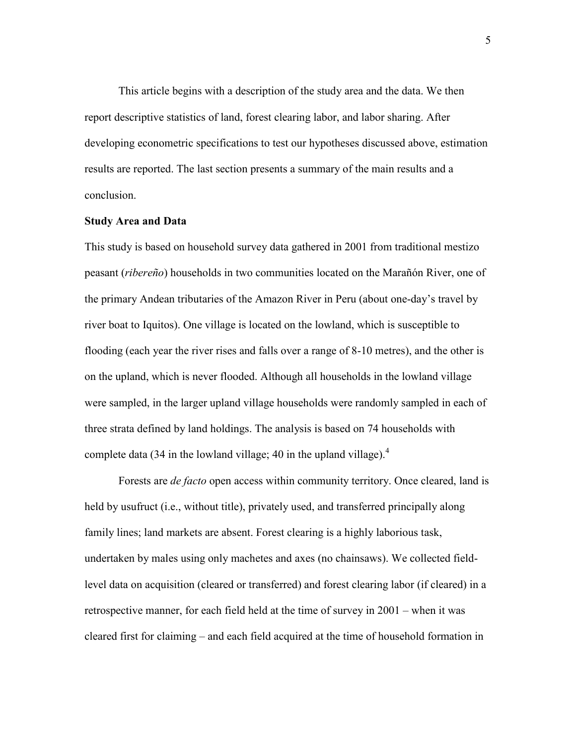This article begins with a description of the study area and the data. We then report descriptive statistics of land, forest clearing labor, and labor sharing. After developing econometric specifications to test our hypotheses discussed above, estimation results are reported. The last section presents a summary of the main results and a conclusion.

#### **Study Area and Data**

This study is based on household survey data gathered in 2001 from traditional mestizo peasant (*ribereño*) households in two communities located on the Marañón River, one of the primary Andean tributaries of the Amazon River in Peru (about one-day's travel by river boat to Iquitos). One village is located on the lowland, which is susceptible to flooding (each year the river rises and falls over a range of 8-10 metres), and the other is on the upland, which is never flooded. Although all households in the lowland village were sampled, in the larger upland village households were randomly sampled in each of three strata defined by land holdings. The analysis is based on 74 households with complete data (34 in the lowland village; 40 in the upland village). $4\overline{ }$ 

Forests are *de facto* open access within community territory. Once cleared, land is held by usufruct (i.e., without title), privately used, and transferred principally along family lines; land markets are absent. Forest clearing is a highly laborious task, undertaken by males using only machetes and axes (no chainsaws). We collected fieldlevel data on acquisition (cleared or transferred) and forest clearing labor (if cleared) in a retrospective manner, for each field held at the time of survey in 2001 – when it was cleared first for claiming – and each field acquired at the time of household formation in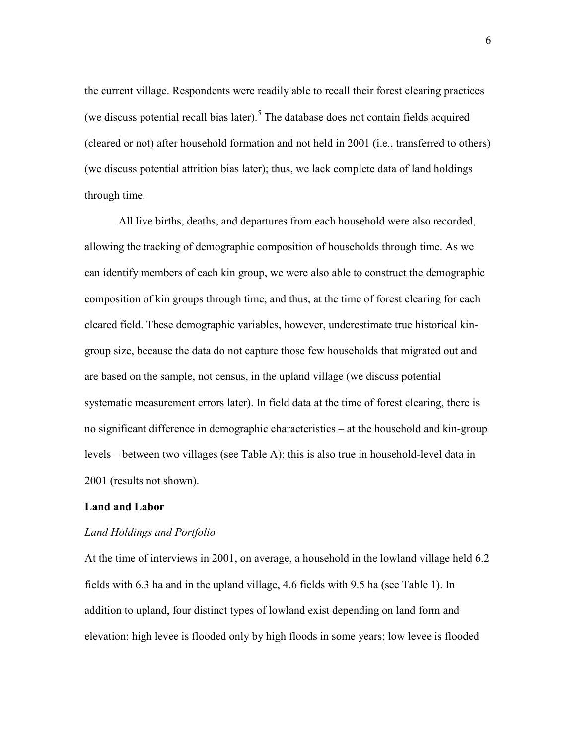the current village. Respondents were readily able to recall their forest clearing practices (we discuss potential recall bias later).<sup>5</sup> The database does not contain fields acquired (cleared or not) after household formation and not held in 2001 (i.e., transferred to others) (we discuss potential attrition bias later); thus, we lack complete data of land holdings through time.

All live births, deaths, and departures from each household were also recorded, allowing the tracking of demographic composition of households through time. As we can identify members of each kin group, we were also able to construct the demographic composition of kin groups through time, and thus, at the time of forest clearing for each cleared field. These demographic variables, however, underestimate true historical kingroup size, because the data do not capture those few households that migrated out and are based on the sample, not census, in the upland village (we discuss potential systematic measurement errors later). In field data at the time of forest clearing, there is no significant difference in demographic characteristics – at the household and kin-group levels – between two villages (see Table A); this is also true in household-level data in 2001 (results not shown).

## **Land and Labor**

## *Land Holdings and Portfolio*

At the time of interviews in 2001, on average, a household in the lowland village held 6.2 fields with 6.3 ha and in the upland village, 4.6 fields with 9.5 ha (see Table 1). In addition to upland, four distinct types of lowland exist depending on land form and elevation: high levee is flooded only by high floods in some years; low levee is flooded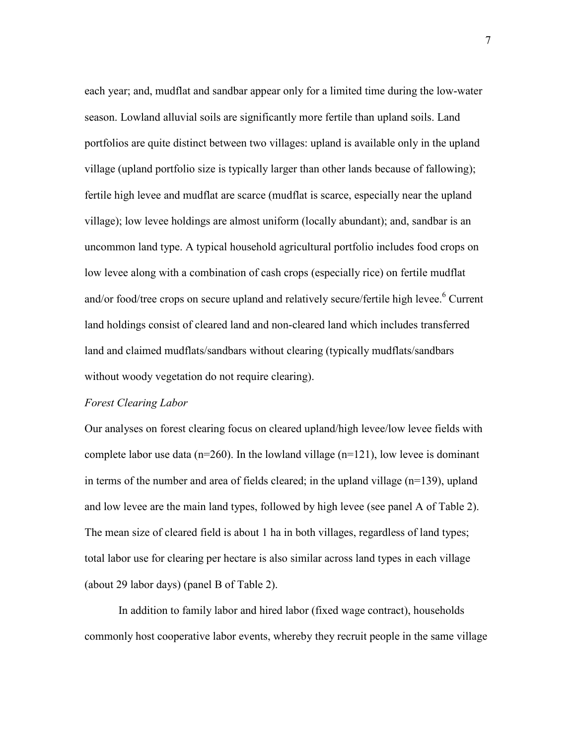each year; and, mudflat and sandbar appear only for a limited time during the low-water season. Lowland alluvial soils are significantly more fertile than upland soils. Land portfolios are quite distinct between two villages: upland is available only in the upland village (upland portfolio size is typically larger than other lands because of fallowing); fertile high levee and mudflat are scarce (mudflat is scarce, especially near the upland village); low levee holdings are almost uniform (locally abundant); and, sandbar is an uncommon land type. A typical household agricultural portfolio includes food crops on low levee along with a combination of cash crops (especially rice) on fertile mudflat and/or food/tree crops on secure upland and relatively secure/fertile high levee.<sup>6</sup> Current land holdings consist of cleared land and non-cleared land which includes transferred land and claimed mudflats/sandbars without clearing (typically mudflats/sandbars without woody vegetation do not require clearing).

## *Forest Clearing Labor*

Our analyses on forest clearing focus on cleared upland/high levee/low levee fields with complete labor use data ( $n=260$ ). In the lowland village ( $n=121$ ), low levee is dominant in terms of the number and area of fields cleared; in the upland village (n=139), upland and low levee are the main land types, followed by high levee (see panel A of Table 2). The mean size of cleared field is about 1 ha in both villages, regardless of land types; total labor use for clearing per hectare is also similar across land types in each village (about 29 labor days) (panel B of Table 2).

In addition to family labor and hired labor (fixed wage contract), households commonly host cooperative labor events, whereby they recruit people in the same village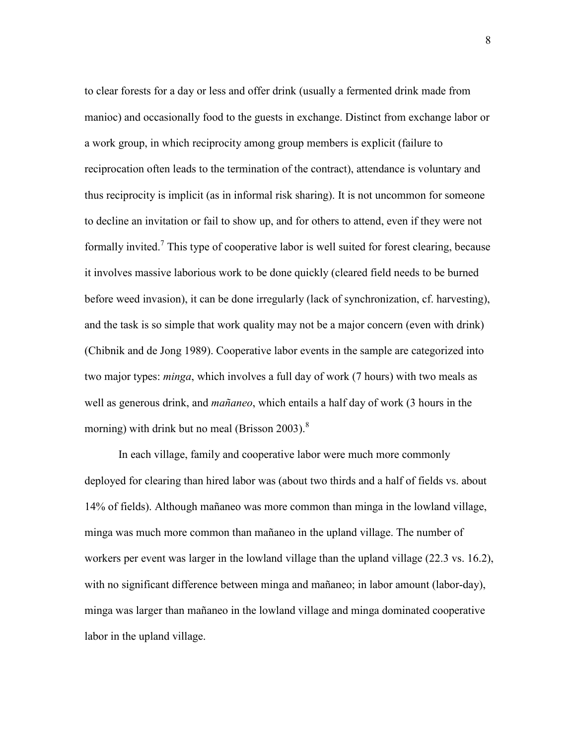to clear forests for a day or less and offer drink (usually a fermented drink made from manioc) and occasionally food to the guests in exchange. Distinct from exchange labor or a work group, in which reciprocity among group members is explicit (failure to reciprocation often leads to the termination of the contract), attendance is voluntary and thus reciprocity is implicit (as in informal risk sharing). It is not uncommon for someone to decline an invitation or fail to show up, and for others to attend, even if they were not formally invited.<sup>7</sup> This type of cooperative labor is well suited for forest clearing, because it involves massive laborious work to be done quickly (cleared field needs to be burned before weed invasion), it can be done irregularly (lack of synchronization, cf. harvesting), and the task is so simple that work quality may not be a major concern (even with drink) (Chibnik and de Jong 1989). Cooperative labor events in the sample are categorized into two major types: *minga*, which involves a full day of work (7 hours) with two meals as well as generous drink, and *mañaneo*, which entails a half day of work (3 hours in the morning) with drink but no meal (Brisson 2003).<sup>8</sup>

In each village, family and cooperative labor were much more commonly deployed for clearing than hired labor was (about two thirds and a half of fields vs. about 14% of fields). Although mañaneo was more common than minga in the lowland village, minga was much more common than mañaneo in the upland village. The number of workers per event was larger in the lowland village than the upland village (22.3 vs. 16.2), with no significant difference between minga and mañaneo; in labor amount (labor-day), minga was larger than mañaneo in the lowland village and minga dominated cooperative labor in the upland village.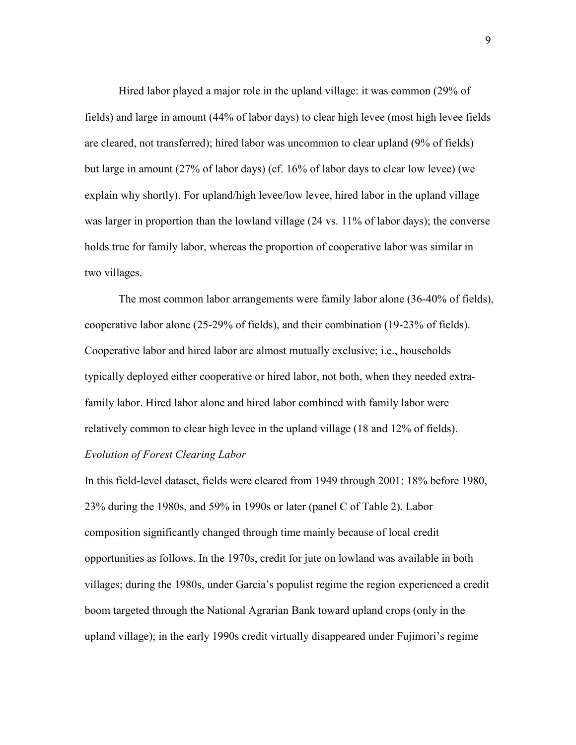Hired labor played a major role in the upland village: it was common (29% of fields) and large in amount (44% of labor days) to clear high levee (most high levee fields are cleared, not transferred); hired labor was uncommon to clear upland (9% of fields) but large in amount (27% of labor days) (cf. 16% of labor days to clear low levee) (we explain why shortly). For upland/high levee/low levee, hired labor in the upland village was larger in proportion than the lowland village (24 vs. 11% of labor days); the converse holds true for family labor, whereas the proportion of cooperative labor was similar in two villages.

The most common labor arrangements were family labor alone (36-40% of fields), cooperative labor alone (25-29% of fields), and their combination (19-23% of fields). Cooperative labor and hired labor are almost mutually exclusive; i.e., households typically deployed either cooperative or hired labor, not both, when they needed extrafamily labor. Hired labor alone and hired labor combined with family labor were relatively common to clear high levee in the upland village (18 and 12% of fields). *Evolution of Forest Clearing Labor*

In this field-level dataset, fields were cleared from 1949 through 2001: 18% before 1980, 23% during the 1980s, and 59% in 1990s or later (panel C of Table 2). Labor composition significantly changed through time mainly because of local credit opportunities as follows. In the 1970s, credit for jute on lowland was available in both villages; during the 1980s, under Garcia's populist regime the region experienced a credit boom targeted through the National Agrarian Bank toward upland crops (only in the upland village); in the early 1990s credit virtually disappeared under Fujimori's regime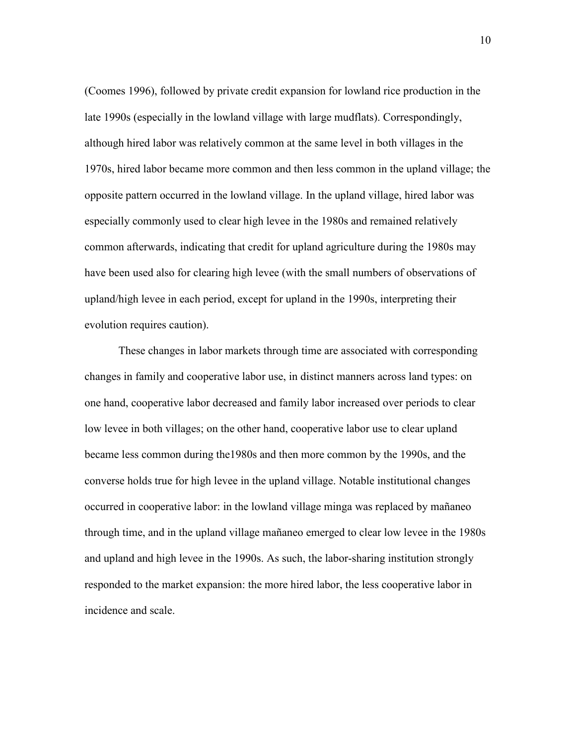(Coomes 1996), followed by private credit expansion for lowland rice production in the late 1990s (especially in the lowland village with large mudflats). Correspondingly, although hired labor was relatively common at the same level in both villages in the 1970s, hired labor became more common and then less common in the upland village; the opposite pattern occurred in the lowland village. In the upland village, hired labor was especially commonly used to clear high levee in the 1980s and remained relatively common afterwards, indicating that credit for upland agriculture during the 1980s may have been used also for clearing high levee (with the small numbers of observations of upland/high levee in each period, except for upland in the 1990s, interpreting their evolution requires caution).

These changes in labor markets through time are associated with corresponding changes in family and cooperative labor use, in distinct manners across land types: on one hand, cooperative labor decreased and family labor increased over periods to clear low levee in both villages; on the other hand, cooperative labor use to clear upland became less common during the1980s and then more common by the 1990s, and the converse holds true for high levee in the upland village. Notable institutional changes occurred in cooperative labor: in the lowland village minga was replaced by mañaneo through time, and in the upland village mañaneo emerged to clear low levee in the 1980s and upland and high levee in the 1990s. As such, the labor-sharing institution strongly responded to the market expansion: the more hired labor, the less cooperative labor in incidence and scale.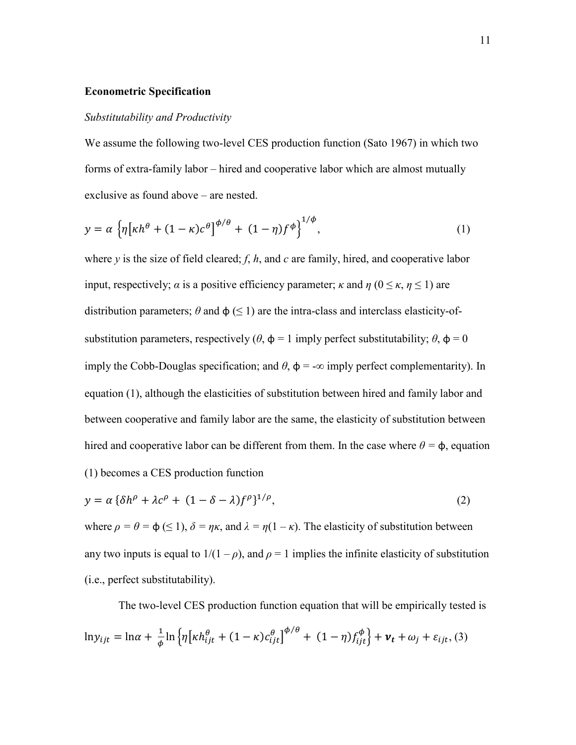#### **Econometric Specification**

#### *Substitutability and Productivity*

We assume the following two-level CES production function (Sato 1967) in which two forms of extra-family labor – hired and cooperative labor which are almost mutually exclusive as found above – are nested.

$$
y = \alpha \left\{ \eta \left[ \kappa h^{\theta} + (1 - \kappa) c^{\theta} \right] ^{\phi/\theta} + (1 - \eta) f^{\phi} \right\}^{1/\phi},\tag{1}
$$

where *y* is the size of field cleared; *f*, *h*, and *c* are family, hired, and cooperative labor input, respectively;  $\alpha$  is a positive efficiency parameter;  $\kappa$  and  $\eta$  ( $0 \leq \kappa$ ,  $\eta \leq 1$ ) are distribution parameters;  $\theta$  and  $\phi$  ( $\leq$  1) are the intra-class and interclass elasticity-ofsubstitution parameters, respectively  $(\theta, \phi = 1$  imply perfect substitutability;  $\theta$ ,  $\phi = 0$ imply the Cobb-Douglas specification; and  $\theta$ ,  $\phi$  = - $\infty$  imply perfect complementarity). In equation (1), although the elasticities of substitution between hired and family labor and between cooperative and family labor are the same, the elasticity of substitution between hired and cooperative labor can be different from them. In the case where  $\theta = \phi$ , equation (1) becomes a CES production function

$$
y = \alpha \left\{ \delta h^{\rho} + \lambda c^{\rho} + (1 - \delta - \lambda) f^{\rho} \right\}^{1/\rho},\tag{2}
$$

where  $\rho = \theta = \phi \leq 1$ ,  $\delta = \eta \kappa$ , and  $\lambda = \eta(1 - \kappa)$ . The elasticity of substitution between any two inputs is equal to  $1/(1 - \rho)$ , and  $\rho = 1$  implies the infinite elasticity of substitution (i.e., perfect substitutability).

The two-level CES production function equation that will be empirically tested is  $ln y_{ijt} = ln \alpha + \frac{1}{\phi} ln \left\{ \eta \left[ \kappa h_{ijt}^{\theta} + (1 - \kappa) c_{ijt}^{\theta} \right] \right\}^{\phi/\theta} + (1 - \eta) f_{ijt}^{\phi} \right\} + \nu_t + \omega_j + \varepsilon_{ijt}$ , (3)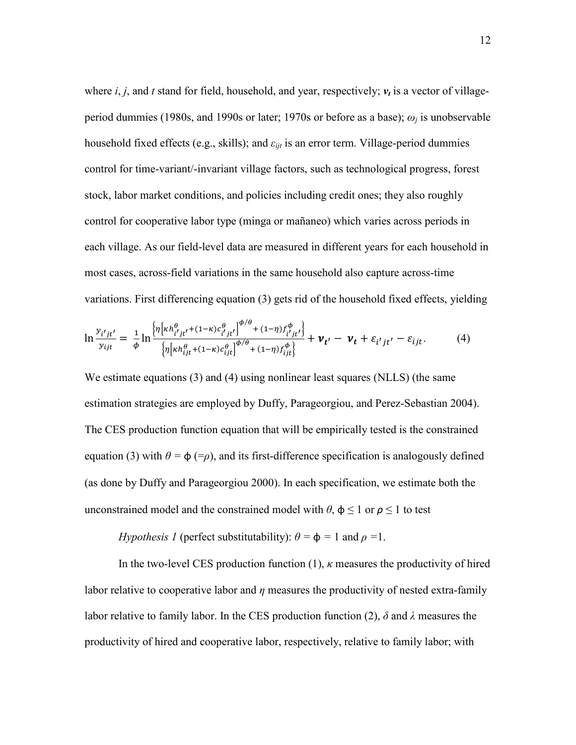where  $i, j$ , and  $t$  stand for field, household, and year, respectively;  $v_t$  is a vector of villageperiod dummies (1980s, and 1990s or later; 1970s or before as a base);  $\omega_i$  is unobservable household fixed effects (e.g., skills); and  $\varepsilon_{ii}$  is an error term. Village-period dummies control for time-variant/-invariant village factors, such as technological progress, forest stock, labor market conditions, and policies including credit ones; they also roughly control for cooperative labor type (minga or mañaneo) which varies across periods in each village. As our field-level data are measured in different years for each household in most cases, across-field variations in the same household also capture across-time variations. First differencing equation (3) gets rid of the household fixed effects, yielding

$$
\ln \frac{y_{i'j t'}}{y_{ijt}} = \frac{1}{\phi} \ln \frac{\left\{ \eta \left[ \kappa h_{i'j t'}^{\theta} + (1 - \kappa) c_{i'j t'}^{\theta} \right]^{\phi/\theta} + (1 - \eta) f_{i'j t'}^{\phi} \right\}}{\left\{ \eta \left[ \kappa h_{i j t}^{\theta} + (1 - \kappa) c_{i j t}^{\theta} \right]^{\phi/\theta} + (1 - \eta) f_{i j t}^{\phi} \right\}} + \nu_{t'} - \nu_{t} + \varepsilon_{i' j t'} - \varepsilon_{i j t}. \tag{4}
$$

We estimate equations (3) and (4) using nonlinear least squares (NLLS) (the same estimation strategies are employed by Duffy, Parageorgiou, and Perez-Sebastian 2004). The CES production function equation that will be empirically tested is the constrained equation (3) with  $\theta = \phi$  (= $\rho$ ), and its first-difference specification is analogously defined (as done by Duffy and Parageorgiou 2000). In each specification, we estimate both the unconstrained model and the constrained model with  $\theta$ ,  $\phi \le 1$  or  $\rho \le 1$  to test

# *Hypothesis 1* (perfect substitutability):  $\theta = \phi = 1$  and  $\rho = 1$ .

In the two-level CES production function  $(1)$ ,  $\kappa$  measures the productivity of hired labor relative to cooperative labor and  $\eta$  measures the productivity of nested extra-family labor relative to family labor. In the CES production function (2),  $\delta$  and  $\lambda$  measures the productivity of hired and cooperative labor, respectively, relative to family labor; with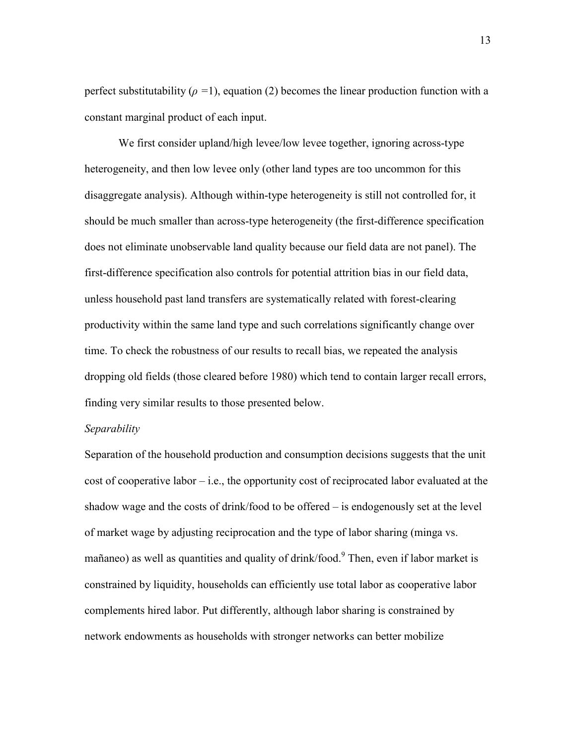perfect substitutability ( $\rho = 1$ ), equation (2) becomes the linear production function with a constant marginal product of each input.

We first consider upland/high levee/low levee together, ignoring across-type heterogeneity, and then low levee only (other land types are too uncommon for this disaggregate analysis). Although within-type heterogeneity is still not controlled for, it should be much smaller than across-type heterogeneity (the first-difference specification does not eliminate unobservable land quality because our field data are not panel). The first-difference specification also controls for potential attrition bias in our field data, unless household past land transfers are systematically related with forest-clearing productivity within the same land type and such correlations significantly change over time. To check the robustness of our results to recall bias, we repeated the analysis dropping old fields (those cleared before 1980) which tend to contain larger recall errors, finding very similar results to those presented below.

## *Separability*

Separation of the household production and consumption decisions suggests that the unit cost of cooperative labor  $-i.e.,$  the opportunity cost of reciprocated labor evaluated at the shadow wage and the costs of drink/food to be offered – is endogenously set at the level of market wage by adjusting reciprocation and the type of labor sharing (minga vs. mañaneo) as well as quantities and quality of drink/food.<sup>9</sup> Then, even if labor market is constrained by liquidity, households can efficiently use total labor as cooperative labor complements hired labor. Put differently, although labor sharing is constrained by network endowments as households with stronger networks can better mobilize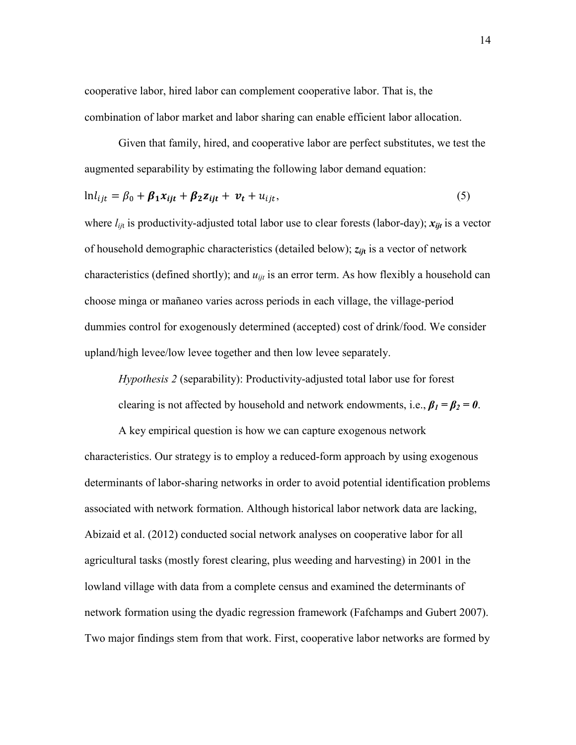cooperative labor, hired labor can complement cooperative labor. That is, the combination of labor market and labor sharing can enable efficient labor allocation.

Given that family, hired, and cooperative labor are perfect substitutes, we test the augmented separability by estimating the following labor demand equation:

$$
\ln l_{ijt} = \beta_0 + \beta_1 x_{ijt} + \beta_2 z_{ijt} + \nu_t + u_{ijt},
$$
\n<sup>(5)</sup>

where  $l_{ijt}$  is productivity-adjusted total labor use to clear forests (labor-day);  $x_{ijt}$  is a vector of household demographic characteristics (detailed below); *zij***<sup>t</sup>** is a vector of network characteristics (defined shortly); and  $u_{ijt}$  is an error term. As how flexibly a household can choose minga or mañaneo varies across periods in each village, the village-period dummies control for exogenously determined (accepted) cost of drink/food. We consider upland/high levee/low levee together and then low levee separately.

*Hypothesis 2* (separability): Productivity-adjusted total labor use for forest

clearing is not affected by household and network endowments, i.e.,  $\beta_1 = \beta_2 = 0$ .

A key empirical question is how we can capture exogenous network characteristics. Our strategy is to employ a reduced-form approach by using exogenous determinants of labor-sharing networks in order to avoid potential identification problems associated with network formation. Although historical labor network data are lacking, Abizaid et al. (2012) conducted social network analyses on cooperative labor for all agricultural tasks (mostly forest clearing, plus weeding and harvesting) in 2001 in the lowland village with data from a complete census and examined the determinants of network formation using the dyadic regression framework (Fafchamps and Gubert 2007). Two major findings stem from that work. First, cooperative labor networks are formed by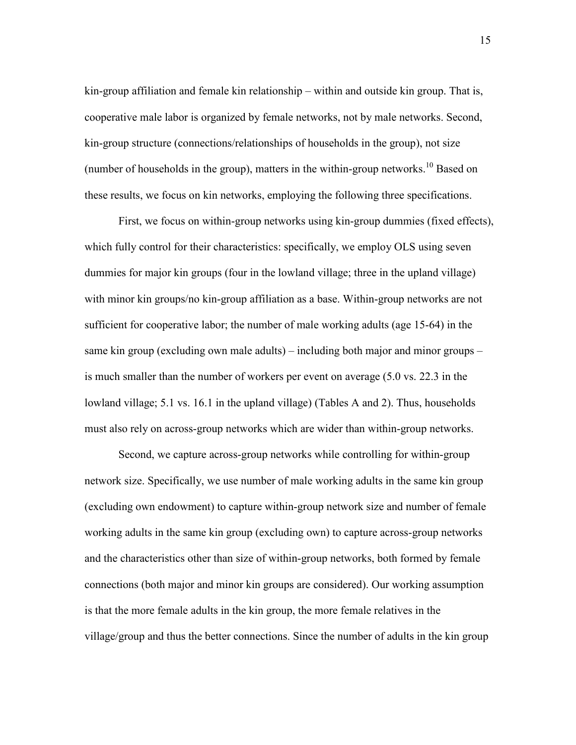kin-group affiliation and female kin relationship – within and outside kin group. That is, cooperative male labor is organized by female networks, not by male networks. Second, kin-group structure (connections/relationships of households in the group), not size (number of households in the group), matters in the within-group networks.<sup>10</sup> Based on these results, we focus on kin networks, employing the following three specifications.

First, we focus on within-group networks using kin-group dummies (fixed effects), which fully control for their characteristics: specifically, we employ OLS using seven dummies for major kin groups (four in the lowland village; three in the upland village) with minor kin groups/no kin-group affiliation as a base. Within-group networks are not sufficient for cooperative labor; the number of male working adults (age 15-64) in the same kin group (excluding own male adults) – including both major and minor groups – is much smaller than the number of workers per event on average (5.0 vs. 22.3 in the lowland village; 5.1 vs. 16.1 in the upland village) (Tables A and 2). Thus, households must also rely on across-group networks which are wider than within-group networks.

Second, we capture across-group networks while controlling for within-group network size. Specifically, we use number of male working adults in the same kin group (excluding own endowment) to capture within-group network size and number of female working adults in the same kin group (excluding own) to capture across-group networks and the characteristics other than size of within-group networks, both formed by female connections (both major and minor kin groups are considered). Our working assumption is that the more female adults in the kin group, the more female relatives in the village/group and thus the better connections. Since the number of adults in the kin group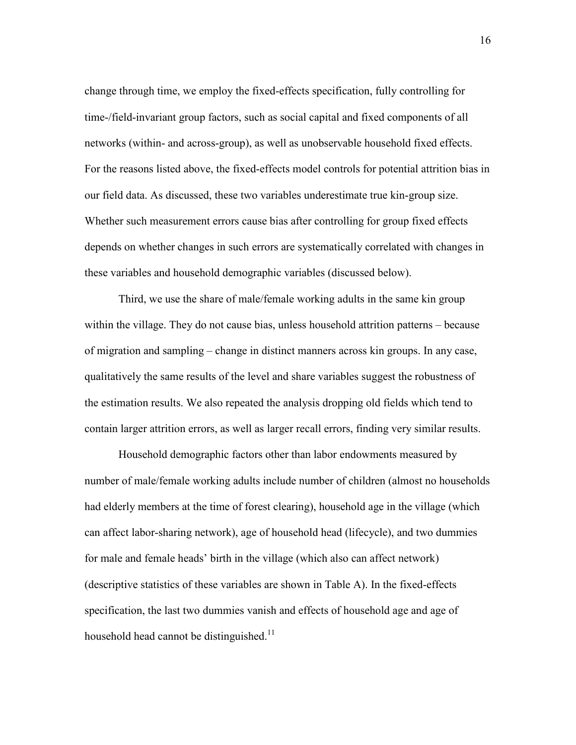change through time, we employ the fixed-effects specification, fully controlling for time-/field-invariant group factors, such as social capital and fixed components of all networks (within- and across-group), as well as unobservable household fixed effects. For the reasons listed above, the fixed-effects model controls for potential attrition bias in our field data. As discussed, these two variables underestimate true kin-group size. Whether such measurement errors cause bias after controlling for group fixed effects depends on whether changes in such errors are systematically correlated with changes in these variables and household demographic variables (discussed below).

Third, we use the share of male/female working adults in the same kin group within the village. They do not cause bias, unless household attrition patterns – because of migration and sampling – change in distinct manners across kin groups. In any case, qualitatively the same results of the level and share variables suggest the robustness of the estimation results. We also repeated the analysis dropping old fields which tend to contain larger attrition errors, as well as larger recall errors, finding very similar results.

Household demographic factors other than labor endowments measured by number of male/female working adults include number of children (almost no households had elderly members at the time of forest clearing), household age in the village (which can affect labor-sharing network), age of household head (lifecycle), and two dummies for male and female heads' birth in the village (which also can affect network) (descriptive statistics of these variables are shown in Table A). In the fixed-effects specification, the last two dummies vanish and effects of household age and age of household head cannot be distinguished.<sup>11</sup>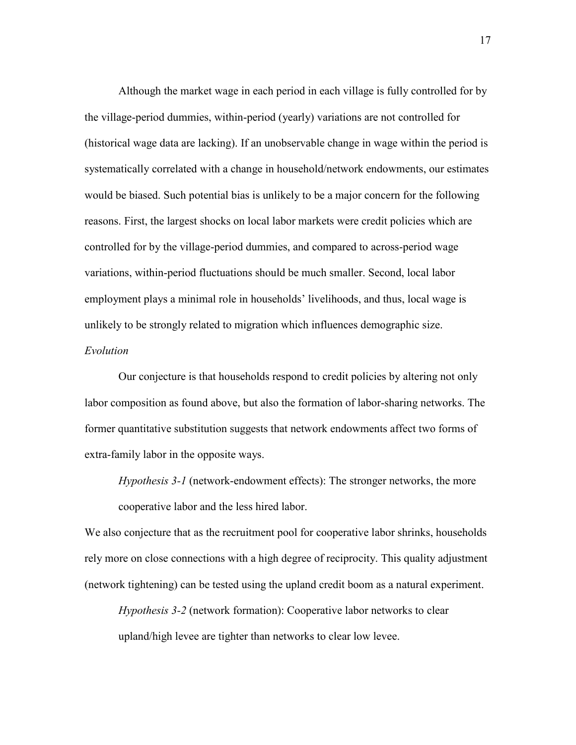Although the market wage in each period in each village is fully controlled for by the village-period dummies, within-period (yearly) variations are not controlled for (historical wage data are lacking). If an unobservable change in wage within the period is systematically correlated with a change in household/network endowments, our estimates would be biased. Such potential bias is unlikely to be a major concern for the following reasons. First, the largest shocks on local labor markets were credit policies which are controlled for by the village-period dummies, and compared to across-period wage variations, within-period fluctuations should be much smaller. Second, local labor employment plays a minimal role in households' livelihoods, and thus, local wage is unlikely to be strongly related to migration which influences demographic size. *Evolution*

# Our conjecture is that households respond to credit policies by altering not only labor composition as found above, but also the formation of labor-sharing networks. The former quantitative substitution suggests that network endowments affect two forms of extra-family labor in the opposite ways.

*Hypothesis 3-1* (network-endowment effects): The stronger networks, the more cooperative labor and the less hired labor.

We also conjecture that as the recruitment pool for cooperative labor shrinks, households rely more on close connections with a high degree of reciprocity. This quality adjustment (network tightening) can be tested using the upland credit boom as a natural experiment.

*Hypothesis 3-2* (network formation): Cooperative labor networks to clear upland/high levee are tighter than networks to clear low levee.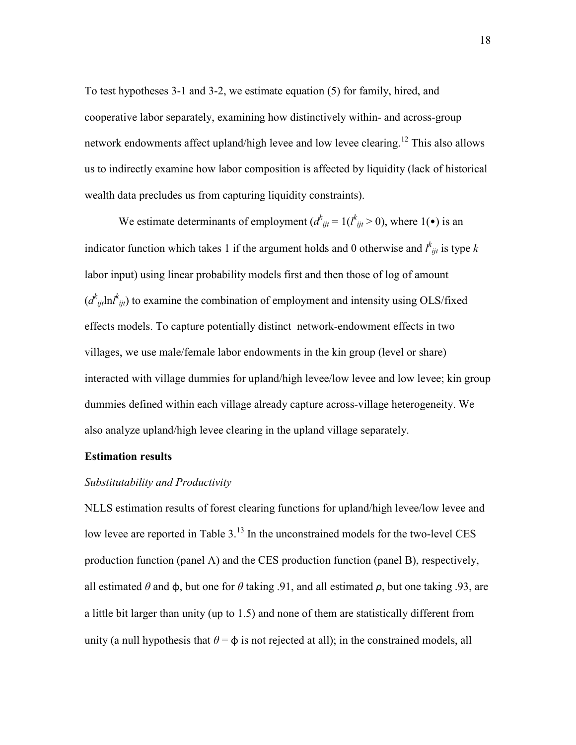To test hypotheses 3-1 and 3-2, we estimate equation (5) for family, hired, and cooperative labor separately, examining how distinctively within- and across-group network endowments affect upland/high levee and low levee clearing.<sup>12</sup> This also allows us to indirectly examine how labor composition is affected by liquidity (lack of historical wealth data precludes us from capturing liquidity constraints).

We estimate determinants of employment  $(d_{ijt}^k = 1(l_{ijt}^k > 0))$ , where 1(•) is an indicator function which takes 1 if the argument holds and 0 otherwise and  $l^{k}_{ijt}$  is type k labor input) using linear probability models first and then those of log of amount  $(d^k_{ijt} \text{ln} l^k_{ijt})$  to examine the combination of employment and intensity using OLS/fixed effects models. To capture potentially distinct network-endowment effects in two villages, we use male/female labor endowments in the kin group (level or share) interacted with village dummies for upland/high levee/low levee and low levee; kin group dummies defined within each village already capture across-village heterogeneity. We also analyze upland/high levee clearing in the upland village separately.

# **Estimation results**

# *Substitutability and Productivity*

NLLS estimation results of forest clearing functions for upland/high levee/low levee and low levee are reported in Table  $3<sup>13</sup>$  In the unconstrained models for the two-level CES production function (panel A) and the CES production function (panel B), respectively, all estimated  $\theta$  and  $\phi$ , but one for  $\theta$  taking .91, and all estimated  $\rho$ , but one taking .93, are a little bit larger than unity (up to 1.5) and none of them are statistically different from unity (a null hypothesis that  $\theta = \phi$  is not rejected at all); in the constrained models, all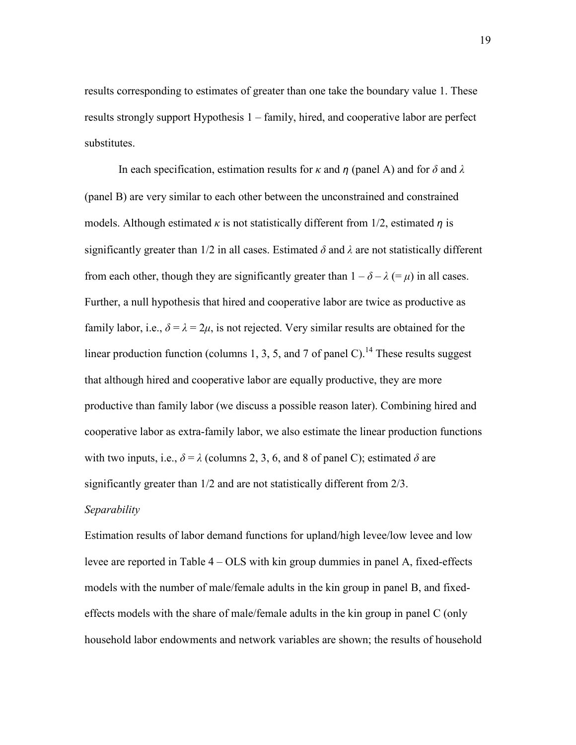results corresponding to estimates of greater than one take the boundary value 1. These results strongly support Hypothesis 1 – family, hired, and cooperative labor are perfect substitutes.

In each specification, estimation results for  $\kappa$  and  $\eta$  (panel A) and for  $\delta$  and  $\lambda$ (panel B) are very similar to each other between the unconstrained and constrained models. Although estimated  $\kappa$  is not statistically different from 1/2, estimated  $\eta$  is significantly greater than  $1/2$  in all cases. Estimated  $\delta$  and  $\lambda$  are not statistically different from each other, though they are significantly greater than  $1 - \delta - \lambda (= \mu)$  in all cases. Further, a null hypothesis that hired and cooperative labor are twice as productive as family labor, i.e.,  $\delta = \lambda = 2\mu$ , is not rejected. Very similar results are obtained for the linear production function (columns 1, 3, 5, and 7 of panel C).<sup>14</sup> These results suggest that although hired and cooperative labor are equally productive, they are more productive than family labor (we discuss a possible reason later). Combining hired and cooperative labor as extra-family labor, we also estimate the linear production functions with two inputs, i.e.,  $\delta = \lambda$  (columns 2, 3, 6, and 8 of panel C); estimated  $\delta$  are significantly greater than 1/2 and are not statistically different from 2/3.

# *Separability*

Estimation results of labor demand functions for upland/high levee/low levee and low levee are reported in Table 4 – OLS with kin group dummies in panel A, fixed-effects models with the number of male/female adults in the kin group in panel B, and fixedeffects models with the share of male/female adults in the kin group in panel C (only household labor endowments and network variables are shown; the results of household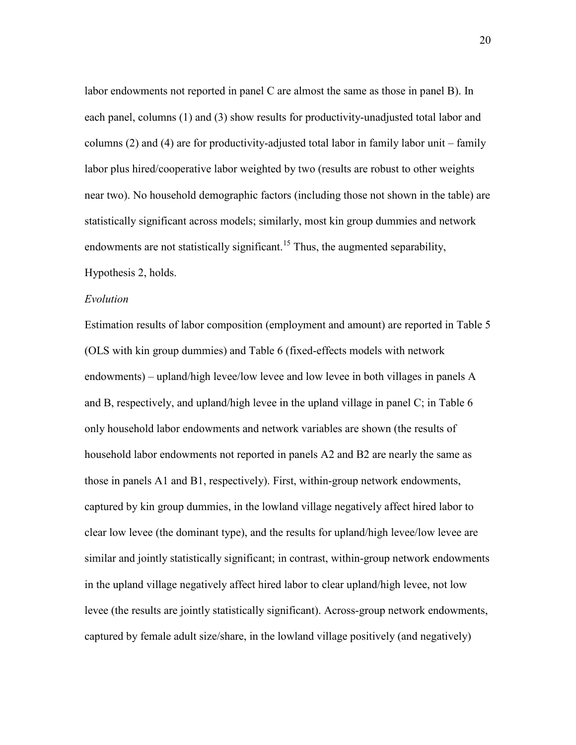labor endowments not reported in panel C are almost the same as those in panel B). In each panel, columns (1) and (3) show results for productivity-unadjusted total labor and columns (2) and (4) are for productivity-adjusted total labor in family labor unit – family labor plus hired/cooperative labor weighted by two (results are robust to other weights near two). No household demographic factors (including those not shown in the table) are statistically significant across models; similarly, most kin group dummies and network endowments are not statistically significant.<sup>15</sup> Thus, the augmented separability, Hypothesis 2, holds.

#### *Evolution*

Estimation results of labor composition (employment and amount) are reported in Table 5 (OLS with kin group dummies) and Table 6 (fixed-effects models with network endowments) – upland/high levee/low levee and low levee in both villages in panels A and B, respectively, and upland/high levee in the upland village in panel C; in Table 6 only household labor endowments and network variables are shown (the results of household labor endowments not reported in panels A2 and B2 are nearly the same as those in panels A1 and B1, respectively). First, within-group network endowments, captured by kin group dummies, in the lowland village negatively affect hired labor to clear low levee (the dominant type), and the results for upland/high levee/low levee are similar and jointly statistically significant; in contrast, within-group network endowments in the upland village negatively affect hired labor to clear upland/high levee, not low levee (the results are jointly statistically significant). Across-group network endowments, captured by female adult size/share, in the lowland village positively (and negatively)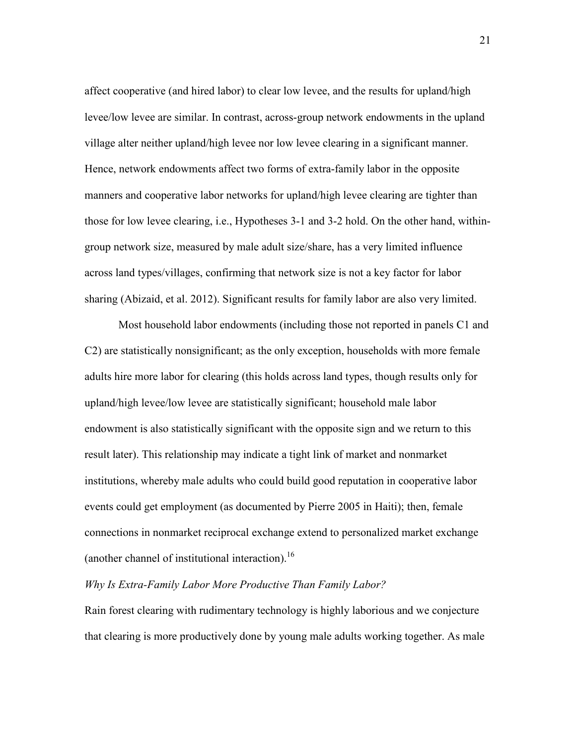affect cooperative (and hired labor) to clear low levee, and the results for upland/high levee/low levee are similar. In contrast, across-group network endowments in the upland village alter neither upland/high levee nor low levee clearing in a significant manner. Hence, network endowments affect two forms of extra-family labor in the opposite manners and cooperative labor networks for upland/high levee clearing are tighter than those for low levee clearing, i.e., Hypotheses 3-1 and 3-2 hold. On the other hand, withingroup network size, measured by male adult size/share, has a very limited influence across land types/villages, confirming that network size is not a key factor for labor sharing (Abizaid, et al. 2012). Significant results for family labor are also very limited.

Most household labor endowments (including those not reported in panels C1 and C2) are statistically nonsignificant; as the only exception, households with more female adults hire more labor for clearing (this holds across land types, though results only for upland/high levee/low levee are statistically significant; household male labor endowment is also statistically significant with the opposite sign and we return to this result later). This relationship may indicate a tight link of market and nonmarket institutions, whereby male adults who could build good reputation in cooperative labor events could get employment (as documented by Pierre 2005 in Haiti); then, female connections in nonmarket reciprocal exchange extend to personalized market exchange (another channel of institutional interaction). $^{16}$ 

# *Why Is Extra-Family Labor More Productive Than Family Labor?*

Rain forest clearing with rudimentary technology is highly laborious and we conjecture that clearing is more productively done by young male adults working together. As male

21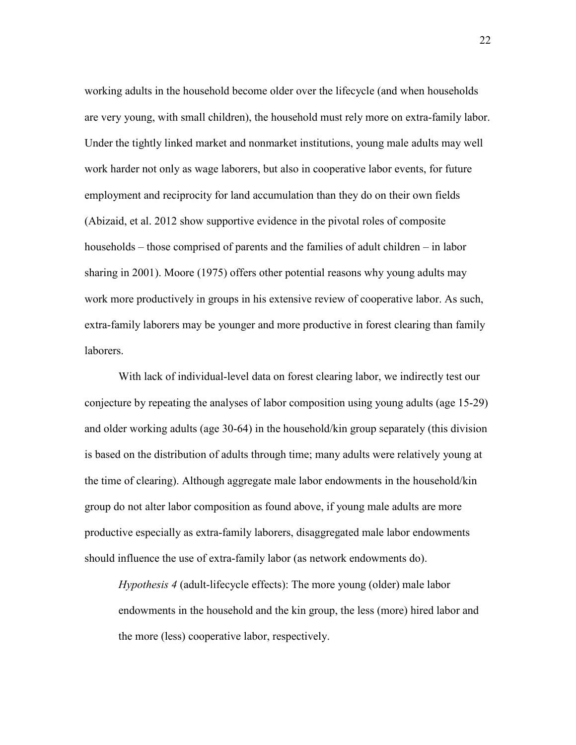working adults in the household become older over the lifecycle (and when households are very young, with small children), the household must rely more on extra-family labor. Under the tightly linked market and nonmarket institutions, young male adults may well work harder not only as wage laborers, but also in cooperative labor events, for future employment and reciprocity for land accumulation than they do on their own fields (Abizaid, et al. 2012 show supportive evidence in the pivotal roles of composite households – those comprised of parents and the families of adult children – in labor sharing in 2001). Moore (1975) offers other potential reasons why young adults may work more productively in groups in his extensive review of cooperative labor. As such, extra-family laborers may be younger and more productive in forest clearing than family laborers.

With lack of individual-level data on forest clearing labor, we indirectly test our conjecture by repeating the analyses of labor composition using young adults (age 15-29) and older working adults (age 30-64) in the household/kin group separately (this division is based on the distribution of adults through time; many adults were relatively young at the time of clearing). Although aggregate male labor endowments in the household/kin group do not alter labor composition as found above, if young male adults are more productive especially as extra-family laborers, disaggregated male labor endowments should influence the use of extra-family labor (as network endowments do).

*Hypothesis 4* (adult-lifecycle effects): The more young (older) male labor endowments in the household and the kin group, the less (more) hired labor and the more (less) cooperative labor, respectively.

22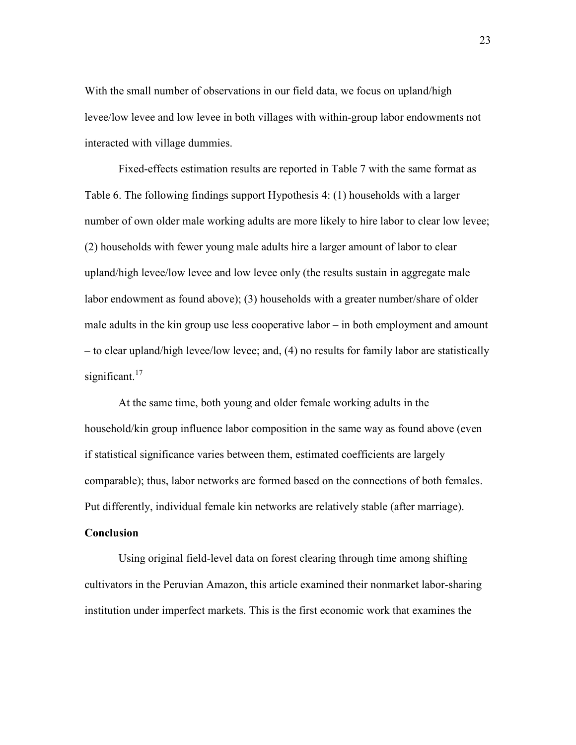With the small number of observations in our field data, we focus on upland/high levee/low levee and low levee in both villages with within-group labor endowments not interacted with village dummies.

Fixed-effects estimation results are reported in Table 7 with the same format as Table 6. The following findings support Hypothesis 4: (1) households with a larger number of own older male working adults are more likely to hire labor to clear low levee; (2) households with fewer young male adults hire a larger amount of labor to clear upland/high levee/low levee and low levee only (the results sustain in aggregate male labor endowment as found above); (3) households with a greater number/share of older male adults in the kin group use less cooperative labor – in both employment and amount – to clear upland/high levee/low levee; and, (4) no results for family labor are statistically significant.<sup>17</sup>

At the same time, both young and older female working adults in the household/kin group influence labor composition in the same way as found above (even if statistical significance varies between them, estimated coefficients are largely comparable); thus, labor networks are formed based on the connections of both females. Put differently, individual female kin networks are relatively stable (after marriage).

# **Conclusion**

Using original field-level data on forest clearing through time among shifting cultivators in the Peruvian Amazon, this article examined their nonmarket labor-sharing institution under imperfect markets. This is the first economic work that examines the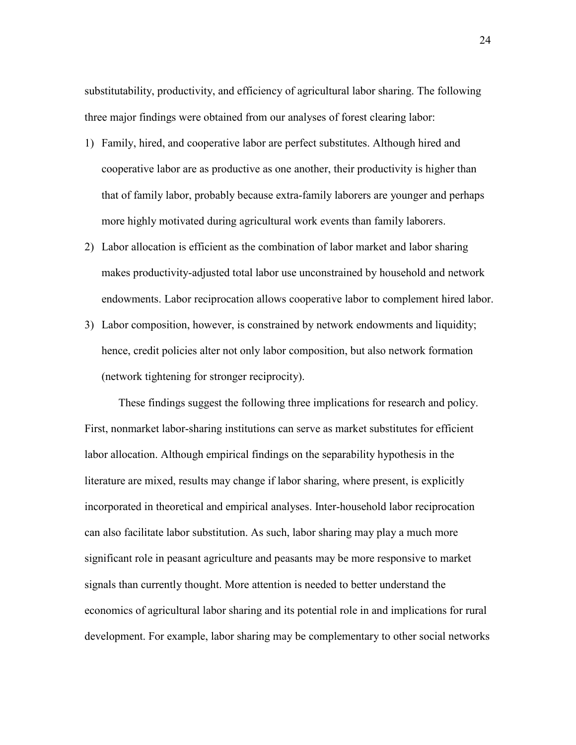substitutability, productivity, and efficiency of agricultural labor sharing. The following three major findings were obtained from our analyses of forest clearing labor:

- 1) Family, hired, and cooperative labor are perfect substitutes. Although hired and cooperative labor are as productive as one another, their productivity is higher than that of family labor, probably because extra-family laborers are younger and perhaps more highly motivated during agricultural work events than family laborers.
- 2) Labor allocation is efficient as the combination of labor market and labor sharing makes productivity-adjusted total labor use unconstrained by household and network endowments. Labor reciprocation allows cooperative labor to complement hired labor.
- 3) Labor composition, however, is constrained by network endowments and liquidity; hence, credit policies alter not only labor composition, but also network formation (network tightening for stronger reciprocity).

These findings suggest the following three implications for research and policy. First, nonmarket labor-sharing institutions can serve as market substitutes for efficient labor allocation. Although empirical findings on the separability hypothesis in the literature are mixed, results may change if labor sharing, where present, is explicitly incorporated in theoretical and empirical analyses. Inter-household labor reciprocation can also facilitate labor substitution. As such, labor sharing may play a much more significant role in peasant agriculture and peasants may be more responsive to market signals than currently thought. More attention is needed to better understand the economics of agricultural labor sharing and its potential role in and implications for rural development. For example, labor sharing may be complementary to other social networks

24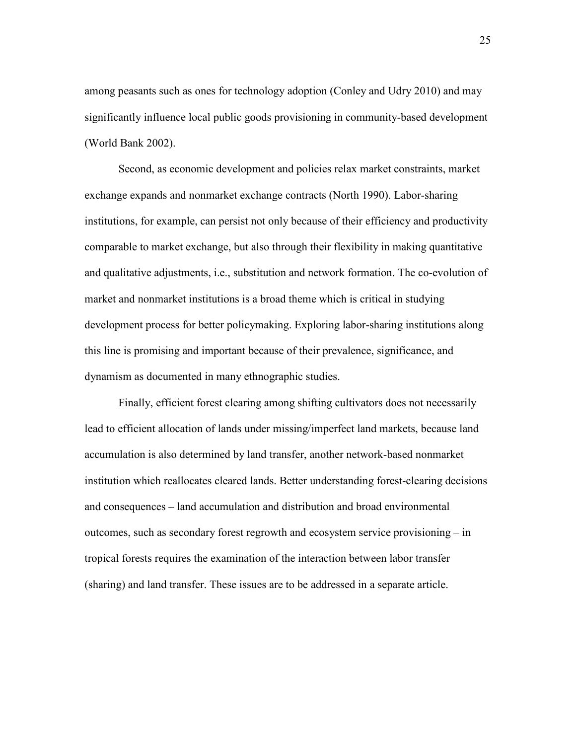among peasants such as ones for technology adoption (Conley and Udry 2010) and may significantly influence local public goods provisioning in community-based development (World Bank 2002).

Second, as economic development and policies relax market constraints, market exchange expands and nonmarket exchange contracts (North 1990). Labor-sharing institutions, for example, can persist not only because of their efficiency and productivity comparable to market exchange, but also through their flexibility in making quantitative and qualitative adjustments, i.e., substitution and network formation. The co-evolution of market and nonmarket institutions is a broad theme which is critical in studying development process for better policymaking. Exploring labor-sharing institutions along this line is promising and important because of their prevalence, significance, and dynamism as documented in many ethnographic studies.

Finally, efficient forest clearing among shifting cultivators does not necessarily lead to efficient allocation of lands under missing/imperfect land markets, because land accumulation is also determined by land transfer, another network-based nonmarket institution which reallocates cleared lands. Better understanding forest-clearing decisions and consequences – land accumulation and distribution and broad environmental outcomes, such as secondary forest regrowth and ecosystem service provisioning – in tropical forests requires the examination of the interaction between labor transfer (sharing) and land transfer. These issues are to be addressed in a separate article.

25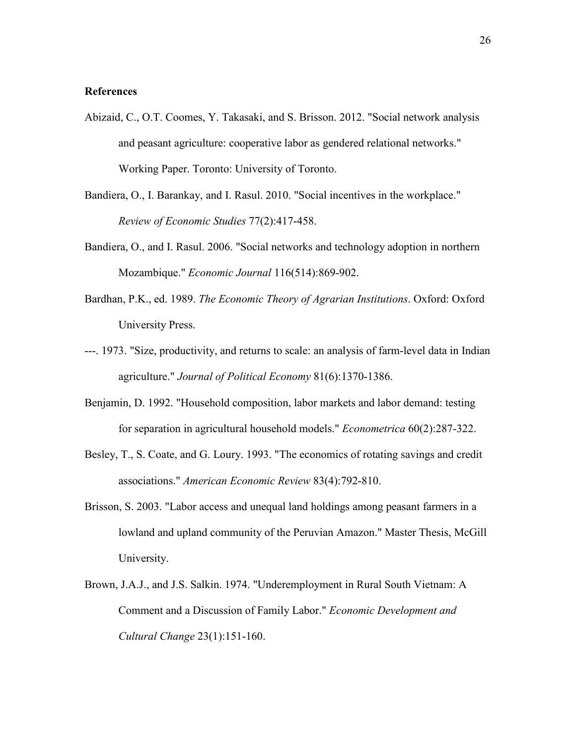# **References**

- Abizaid, C., O.T. Coomes, Y. Takasaki, and S. Brisson. 2012. "Social network analysis and peasant agriculture: cooperative labor as gendered relational networks." Working Paper. Toronto: University of Toronto.
- Bandiera, O., I. Barankay, and I. Rasul. 2010. "Social incentives in the workplace." *Review of Economic Studies* 77(2):417-458.
- Bandiera, O., and I. Rasul. 2006. "Social networks and technology adoption in northern Mozambique." *Economic Journal* 116(514):869-902.
- Bardhan, P.K., ed. 1989. *The Economic Theory of Agrarian Institutions*. Oxford: Oxford University Press.
- ---. 1973. "Size, productivity, and returns to scale: an analysis of farm-level data in Indian agriculture." *Journal of Political Economy* 81(6):1370-1386.
- Benjamin, D. 1992. "Household composition, labor markets and labor demand: testing for separation in agricultural household models." *Econometrica* 60(2):287-322.
- Besley, T., S. Coate, and G. Loury. 1993. "The economics of rotating savings and credit associations." *American Economic Review* 83(4):792-810.
- Brisson, S. 2003. "Labor access and unequal land holdings among peasant farmers in a lowland and upland community of the Peruvian Amazon." Master Thesis, McGill University.
- Brown, J.A.J., and J.S. Salkin. 1974. "Underemployment in Rural South Vietnam: A Comment and a Discussion of Family Labor." *Economic Development and Cultural Change* 23(1):151-160.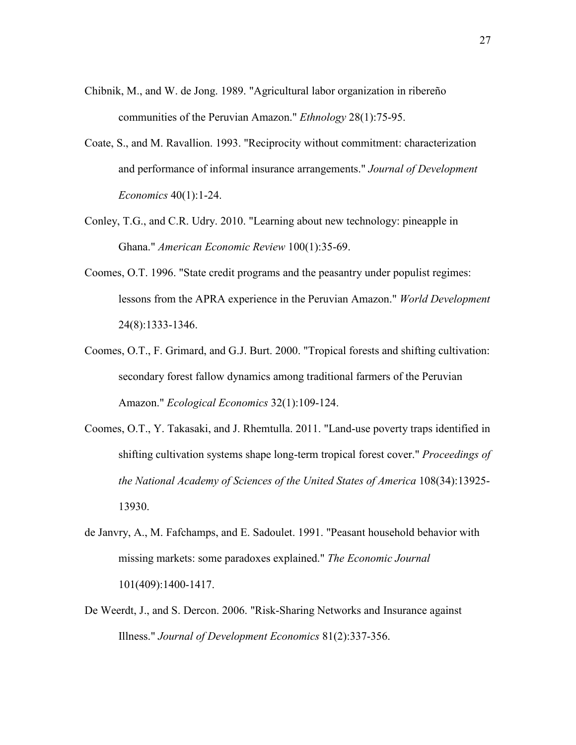- Chibnik, M., and W. de Jong. 1989. "Agricultural labor organization in ribereño communities of the Peruvian Amazon." *Ethnology* 28(1):75-95.
- Coate, S., and M. Ravallion. 1993. "Reciprocity without commitment: characterization and performance of informal insurance arrangements." *Journal of Development Economics* 40(1):1-24.
- Conley, T.G., and C.R. Udry. 2010. "Learning about new technology: pineapple in Ghana." *American Economic Review* 100(1):35-69.
- Coomes, O.T. 1996. "State credit programs and the peasantry under populist regimes: lessons from the APRA experience in the Peruvian Amazon." *World Development* 24(8):1333-1346.
- Coomes, O.T., F. Grimard, and G.J. Burt. 2000. "Tropical forests and shifting cultivation: secondary forest fallow dynamics among traditional farmers of the Peruvian Amazon." *Ecological Economics* 32(1):109-124.
- Coomes, O.T., Y. Takasaki, and J. Rhemtulla. 2011. "Land-use poverty traps identified in shifting cultivation systems shape long-term tropical forest cover." *Proceedings of the National Academy of Sciences of the United States of America* 108(34):13925- 13930.
- de Janvry, A., M. Fafchamps, and E. Sadoulet. 1991. "Peasant household behavior with missing markets: some paradoxes explained." *The Economic Journal* 101(409):1400-1417.
- De Weerdt, J., and S. Dercon. 2006. "Risk-Sharing Networks and Insurance against Illness." *Journal of Development Economics* 81(2):337-356.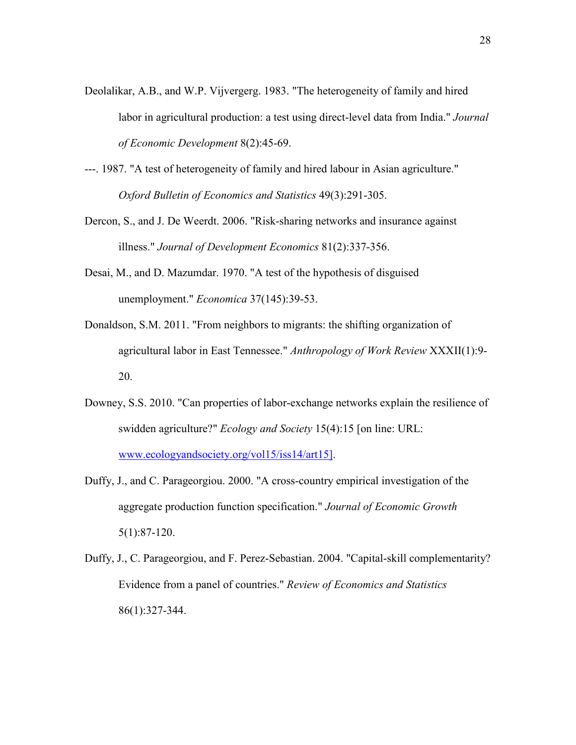- Deolalikar, A.B., and W.P. Vijvergerg. 1983. "The heterogeneity of family and hired labor in agricultural production: a test using direct-level data from India." *Journal of Economic Development* 8(2):45-69.
- ---. 1987. "A test of heterogeneity of family and hired labour in Asian agriculture." *Oxford Bulletin of Economics and Statistics* 49(3):291-305.
- Dercon, S., and J. De Weerdt. 2006. "Risk-sharing networks and insurance against illness." *Journal of Development Economics* 81(2):337-356.
- Desai, M., and D. Mazumdar. 1970. "A test of the hypothesis of disguised unemployment." *Economica* 37(145):39-53.
- Donaldson, S.M. 2011. "From neighbors to migrants: the shifting organization of agricultural labor in East Tennessee." *Anthropology of Work Review* XXXII(1):9- 20.
- Downey, S.S. 2010. "Can properties of labor-exchange networks explain the resilience of swidden agriculture?" *Ecology and Society* 15(4):15 [on line: URL: www.ecologyandsociety.org/vol15/iss14/art15].
- Duffy, J., and C. Parageorgiou. 2000. "A cross-country empirical investigation of the aggregate production function specification." *Journal of Economic Growth* 5(1):87-120.
- Duffy, J., C. Parageorgiou, and F. Perez-Sebastian. 2004. "Capital-skill complementarity? Evidence from a panel of countries." *Review of Economics and Statistics* 86(1):327-344.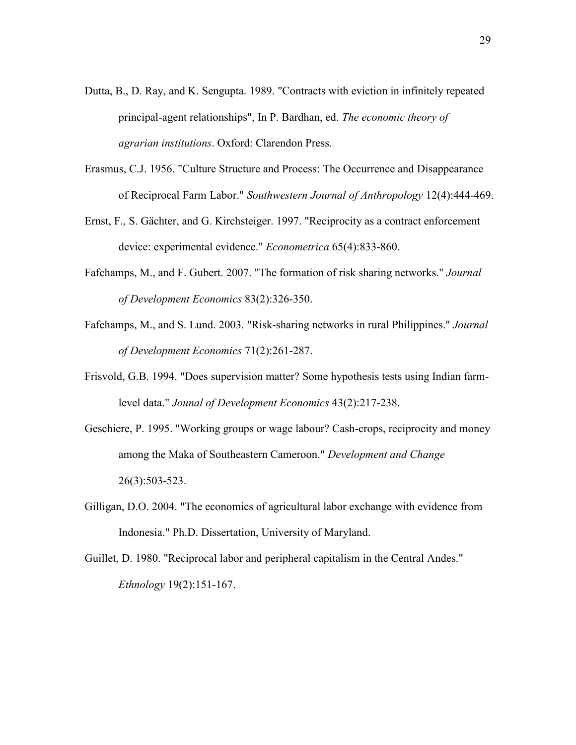- Dutta, B., D. Ray, and K. Sengupta. 1989. "Contracts with eviction in infinitely repeated principal-agent relationships", In P. Bardhan, ed. *The economic theory of agrarian institutions*. Oxford: Clarendon Press.
- Erasmus, C.J. 1956. "Culture Structure and Process: The Occurrence and Disappearance of Reciprocal Farm Labor." *Southwestern Journal of Anthropology* 12(4):444-469.
- Ernst, F., S. Gächter, and G. Kirchsteiger. 1997. "Reciprocity as a contract enforcement device: experimental evidence." *Econometrica* 65(4):833-860.
- Fafchamps, M., and F. Gubert. 2007. "The formation of risk sharing networks." *Journal of Development Economics* 83(2):326-350.
- Fafchamps, M., and S. Lund. 2003. "Risk-sharing networks in rural Philippines." *Journal of Development Economics* 71(2):261-287.
- Frisvold, G.B. 1994. "Does supervision matter? Some hypothesis tests using Indian farmlevel data." *Jounal of Development Economics* 43(2):217-238.
- Geschiere, P. 1995. "Working groups or wage labour? Cash-crops, reciprocity and money among the Maka of Southeastern Cameroon." *Development and Change* 26(3):503-523.
- Gilligan, D.O. 2004. "The economics of agricultural labor exchange with evidence from Indonesia." Ph.D. Dissertation, University of Maryland.
- Guillet, D. 1980. "Reciprocal labor and peripheral capitalism in the Central Andes." *Ethnology* 19(2):151-167.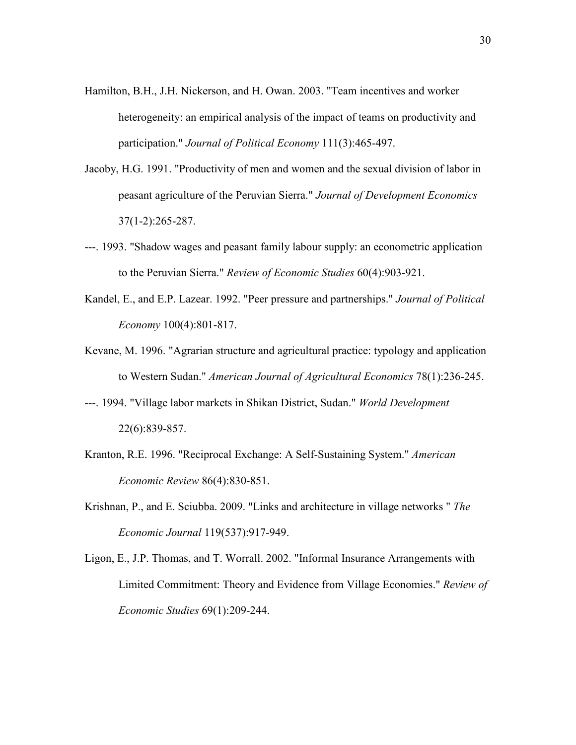- Hamilton, B.H., J.H. Nickerson, and H. Owan. 2003. "Team incentives and worker heterogeneity: an empirical analysis of the impact of teams on productivity and participation." *Journal of Political Economy* 111(3):465-497.
- Jacoby, H.G. 1991. "Productivity of men and women and the sexual division of labor in peasant agriculture of the Peruvian Sierra." *Journal of Development Economics* 37(1-2):265-287.
- ---. 1993. "Shadow wages and peasant family labour supply: an econometric application to the Peruvian Sierra." *Review of Economic Studies* 60(4):903-921.
- Kandel, E., and E.P. Lazear. 1992. "Peer pressure and partnerships." *Journal of Political Economy* 100(4):801-817.
- Kevane, M. 1996. "Agrarian structure and agricultural practice: typology and application to Western Sudan." *American Journal of Agricultural Economics* 78(1):236-245.
- ---. 1994. "Village labor markets in Shikan District, Sudan." *World Development* 22(6):839-857.
- Kranton, R.E. 1996. "Reciprocal Exchange: A Self-Sustaining System." *American Economic Review* 86(4):830-851.
- Krishnan, P., and E. Sciubba. 2009. "Links and architecture in village networks " *The Economic Journal* 119(537):917-949.
- Ligon, E., J.P. Thomas, and T. Worrall. 2002. "Informal Insurance Arrangements with Limited Commitment: Theory and Evidence from Village Economies." *Review of Economic Studies* 69(1):209-244.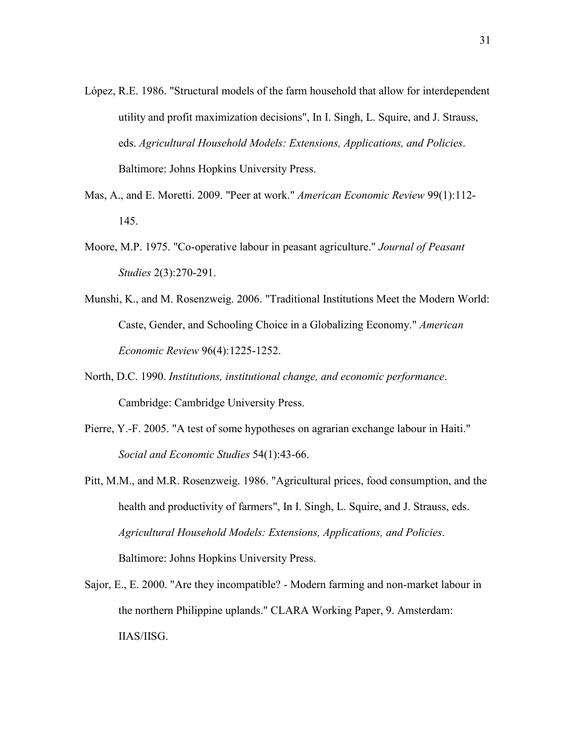- López, R.E. 1986. "Structural models of the farm household that allow for interdependent utility and profit maximization decisions", In I. Singh, L. Squire, and J. Strauss, eds. *Agricultural Household Models: Extensions, Applications, and Policies*. Baltimore: Johns Hopkins University Press.
- Mas, A., and E. Moretti. 2009. "Peer at work." *American Economic Review* 99(1):112- 145.
- Moore, M.P. 1975. "Co-operative labour in peasant agriculture." *Journal of Peasant Studies* 2(3):270-291.
- Munshi, K., and M. Rosenzweig. 2006. "Traditional Institutions Meet the Modern World: Caste, Gender, and Schooling Choice in a Globalizing Economy." *American Economic Review* 96(4):1225-1252.
- North, D.C. 1990. *Institutions, institutional change, and economic performance*. Cambridge: Cambridge University Press.
- Pierre, Y.-F. 2005. "A test of some hypotheses on agrarian exchange labour in Haiti." *Social and Economic Studies* 54(1):43-66.
- Pitt, M.M., and M.R. Rosenzweig. 1986. "Agricultural prices, food consumption, and the health and productivity of farmers", In I. Singh, L. Squire, and J. Strauss, eds. *Agricultural Household Models: Extensions, Applications, and Policies*. Baltimore: Johns Hopkins University Press.
- Sajor, E., E. 2000. "Are they incompatible? Modern farming and non-market labour in the northern Philippine uplands." CLARA Working Paper, 9. Amsterdam: IIAS/IISG.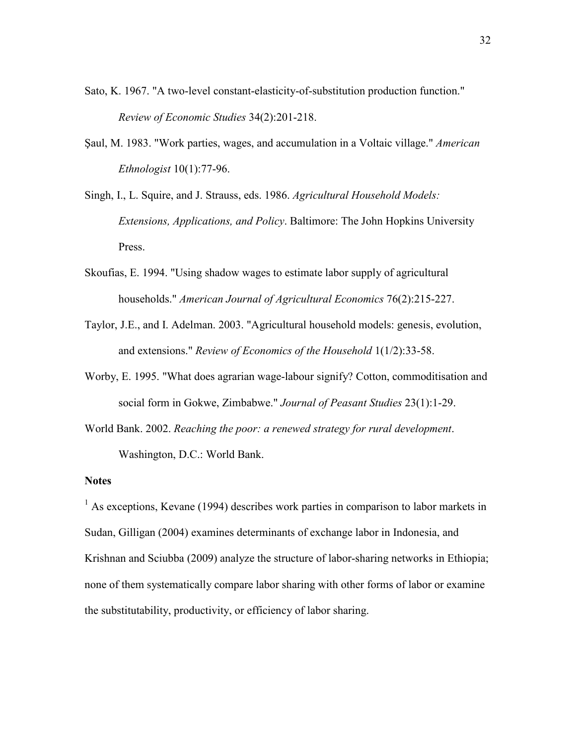- Sato, K. 1967. "A two-level constant-elasticity-of-substitution production function." *Review of Economic Studies* 34(2):201-218.
- Saul, M. 1983. "Work parties, wages, and accumulation in a Voltaic village." *American Ethnologist* 10(1):77-96.
- Singh, I., L. Squire, and J. Strauss, eds. 1986. *Agricultural Household Models: Extensions, Applications, and Policy*. Baltimore: The John Hopkins University Press.
- Skoufias, E. 1994. "Using shadow wages to estimate labor supply of agricultural households." *American Journal of Agricultural Economics* 76(2):215-227.
- Taylor, J.E., and I. Adelman. 2003. "Agricultural household models: genesis, evolution, and extensions." *Review of Economics of the Household* 1(1/2):33-58.
- Worby, E. 1995. "What does agrarian wage-labour signify? Cotton, commoditisation and social form in Gokwe, Zimbabwe." *Journal of Peasant Studies* 23(1):1-29.
- World Bank. 2002. *Reaching the poor: a renewed strategy for rural development*. Washington, D.C.: World Bank.

# **Notes**

 $<sup>1</sup>$  As exceptions, Kevane (1994) describes work parties in comparison to labor markets in</sup> Sudan, Gilligan (2004) examines determinants of exchange labor in Indonesia, and Krishnan and Sciubba (2009) analyze the structure of labor-sharing networks in Ethiopia; none of them systematically compare labor sharing with other forms of labor or examine the substitutability, productivity, or efficiency of labor sharing.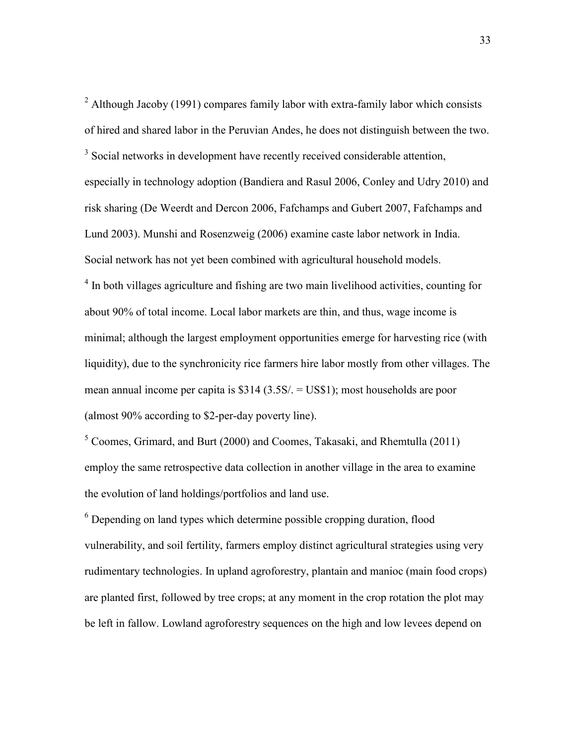$2$  Although Jacoby (1991) compares family labor with extra-family labor which consists of hired and shared labor in the Peruvian Andes, he does not distinguish between the two. <sup>3</sup> Social networks in development have recently received considerable attention, especially in technology adoption (Bandiera and Rasul 2006, Conley and Udry 2010) and risk sharing (De Weerdt and Dercon 2006, Fafchamps and Gubert 2007, Fafchamps and Lund 2003). Munshi and Rosenzweig (2006) examine caste labor network in India. Social network has not yet been combined with agricultural household models. <sup>4</sup> In both villages agriculture and fishing are two main livelihood activities, counting for about 90% of total income. Local labor markets are thin, and thus, wage income is minimal; although the largest employment opportunities emerge for harvesting rice (with liquidity), due to the synchronicity rice farmers hire labor mostly from other villages. The mean annual income per capita is \$314 (3.5S/. = US\$1); most households are poor (almost 90% according to \$2-per-day poverty line).

<sup>5</sup> Coomes, Grimard, and Burt (2000) and Coomes, Takasaki, and Rhemtulla (2011) employ the same retrospective data collection in another village in the area to examine the evolution of land holdings/portfolios and land use.

 $6$  Depending on land types which determine possible cropping duration, flood vulnerability, and soil fertility, farmers employ distinct agricultural strategies using very rudimentary technologies. In upland agroforestry, plantain and manioc (main food crops) are planted first, followed by tree crops; at any moment in the crop rotation the plot may be left in fallow. Lowland agroforestry sequences on the high and low levees depend on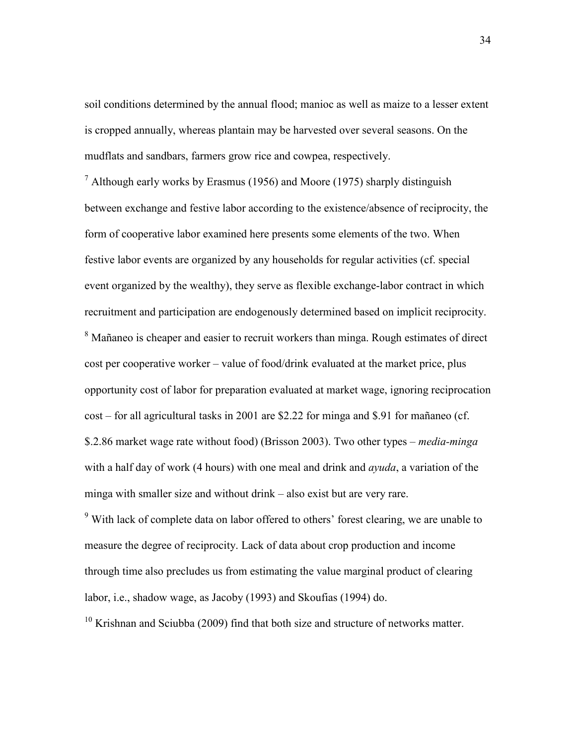soil conditions determined by the annual flood; manioc as well as maize to a lesser extent is cropped annually, whereas plantain may be harvested over several seasons. On the mudflats and sandbars, farmers grow rice and cowpea, respectively.

 $<sup>7</sup>$  Although early works by Erasmus (1956) and Moore (1975) sharply distinguish</sup> between exchange and festive labor according to the existence/absence of reciprocity, the form of cooperative labor examined here presents some elements of the two. When festive labor events are organized by any households for regular activities (cf. special event organized by the wealthy), they serve as flexible exchange-labor contract in which recruitment and participation are endogenously determined based on implicit reciprocity. <sup>8</sup> Mañaneo is cheaper and easier to recruit workers than minga. Rough estimates of direct cost per cooperative worker – value of food/drink evaluated at the market price, plus opportunity cost of labor for preparation evaluated at market wage, ignoring reciprocation cost – for all agricultural tasks in 2001 are \$2.22 for minga and \$.91 for mañaneo (cf. \$.2.86 market wage rate without food) (Brisson 2003). Two other types – *media-minga* with a half day of work (4 hours) with one meal and drink and *ayuda*, a variation of the minga with smaller size and without drink – also exist but are very rare.

 $9$ <sup>9</sup> With lack of complete data on labor offered to others' forest clearing, we are unable to measure the degree of reciprocity. Lack of data about crop production and income through time also precludes us from estimating the value marginal product of clearing labor, i.e., shadow wage, as Jacoby (1993) and Skoufias (1994) do.

 $10$  Krishnan and Sciubba (2009) find that both size and structure of networks matter.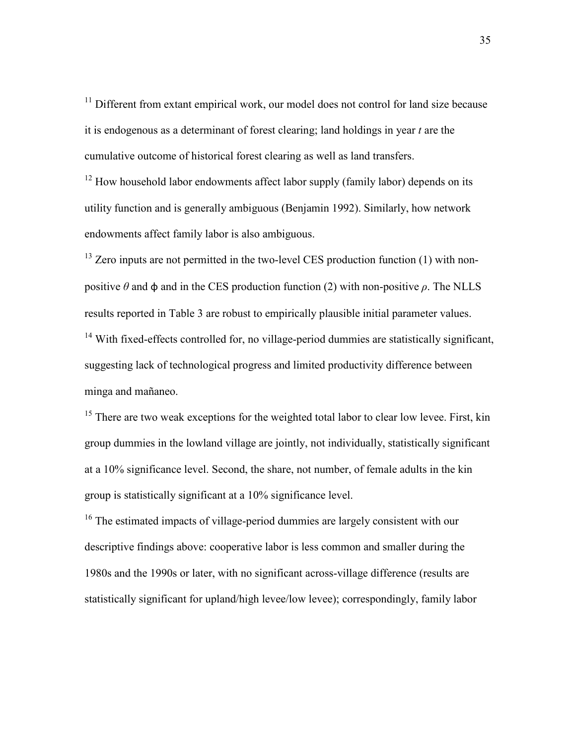<sup>11</sup> Different from extant empirical work, our model does not control for land size because it is endogenous as a determinant of forest clearing; land holdings in year *t* are the cumulative outcome of historical forest clearing as well as land transfers.

 $12$  How household labor endowments affect labor supply (family labor) depends on its utility function and is generally ambiguous (Benjamin 1992). Similarly, how network endowments affect family labor is also ambiguous.

 $13$  Zero inputs are not permitted in the two-level CES production function (1) with nonpositive  $\theta$  and  $\phi$  and in the CES production function (2) with non-positive  $\rho$ . The NLLS results reported in Table 3 are robust to empirically plausible initial parameter values. <sup>14</sup> With fixed-effects controlled for, no village-period dummies are statistically significant, suggesting lack of technological progress and limited productivity difference between minga and mañaneo.

 $15$  There are two weak exceptions for the weighted total labor to clear low levee. First, kin group dummies in the lowland village are jointly, not individually, statistically significant at a 10% significance level. Second, the share, not number, of female adults in the kin group is statistically significant at a 10% significance level.

<sup>16</sup> The estimated impacts of village-period dummies are largely consistent with our descriptive findings above: cooperative labor is less common and smaller during the 1980s and the 1990s or later, with no significant across-village difference (results are statistically significant for upland/high levee/low levee); correspondingly, family labor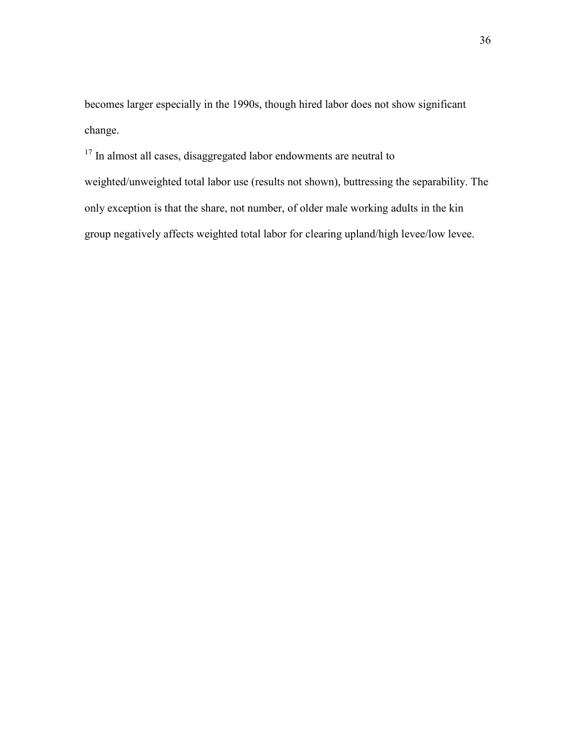becomes larger especially in the 1990s, though hired labor does not show significant change.

<sup>17</sup> In almost all cases, disaggregated labor endowments are neutral to weighted/unweighted total labor use (results not shown), buttressing the separability. The only exception is that the share, not number, of older male working adults in the kin group negatively affects weighted total labor for clearing upland/high levee/low levee.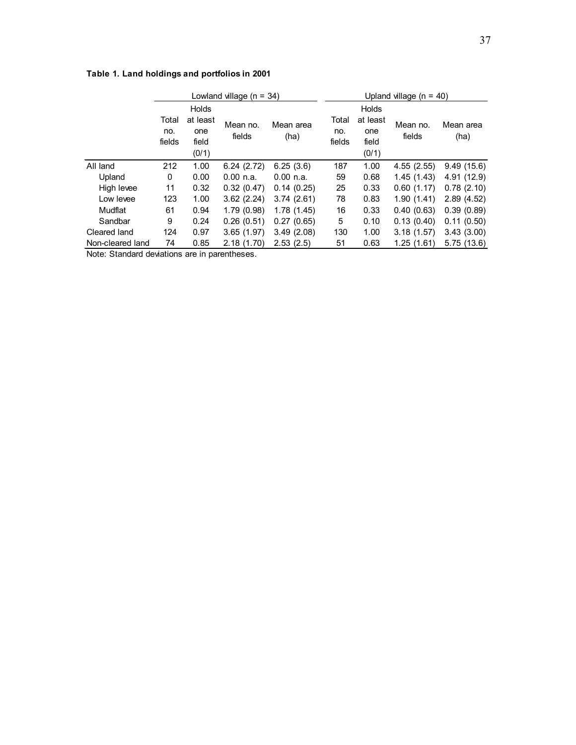# **Table 1. Land holdings and portfolios in 2001**

|                  | Lowland village ( $n = 34$ ) |                                            |                    |                   | Upland village $(n = 40)$ |                                                   |                    |                   |  |  |
|------------------|------------------------------|--------------------------------------------|--------------------|-------------------|---------------------------|---------------------------------------------------|--------------------|-------------------|--|--|
|                  | Total<br>no.<br>fields       | Holds<br>at least<br>one<br>field<br>(0/1) | Mean no.<br>fields | Mean area<br>(ha) | Total<br>no.<br>fields    | <b>Holds</b><br>at least<br>one<br>field<br>(0/1) | Mean no.<br>fields | Mean area<br>(ha) |  |  |
| All land         | 212                          | 1.00                                       | 6.24(2.72)         | 6.25(3.6)         | 187                       | 1.00                                              | 4.55(2.55)         | 9.49(15.6)        |  |  |
| Upland           | 0                            | 0.00                                       | 0.00 n.a.          | $0.00$ n.a.       | 59                        | 0.68                                              | 1.45(1.43)         | 4.91 (12.9)       |  |  |
| High levee       | 11                           | 0.32                                       | 0.32(0.47)         | 0.14(0.25)        | 25                        | 0.33                                              | 0.60(1.17)         | 0.78(2.10)        |  |  |
| Low levee        | 123                          | 1.00                                       | 3.62(2.24)         | 3.74(2.61)        | 78                        | 0.83                                              | 1.90(1.41)         | 2.89(4.52)        |  |  |
| Mudflat          | 61                           | 0.94                                       | 1.79(0.98)         | 1.78(1.45)        | 16                        | 0.33                                              | 0.40(0.63)         | 0.39(0.89)        |  |  |
| Sandbar          | 9                            | 0.24                                       | 0.26(0.51)         | 0.27(0.65)        | 5                         | 0.10                                              | 0.13(0.40)         | 0.11(0.50)        |  |  |
| Cleared land     | 124                          | 0.97                                       | 3.65(1.97)         | 3.49(2.08)        | 130                       | 1.00                                              | 3.18(1.57)         | 3.43(3.00)        |  |  |
| Non-cleared land | 74                           | 0.85                                       | 2.18(1.70)         | 2.53(2.5)         | 51                        | 0.63                                              | 1.25(1.61)         | 5.75(13.6)        |  |  |

Note: Standard deviations are in parentheses.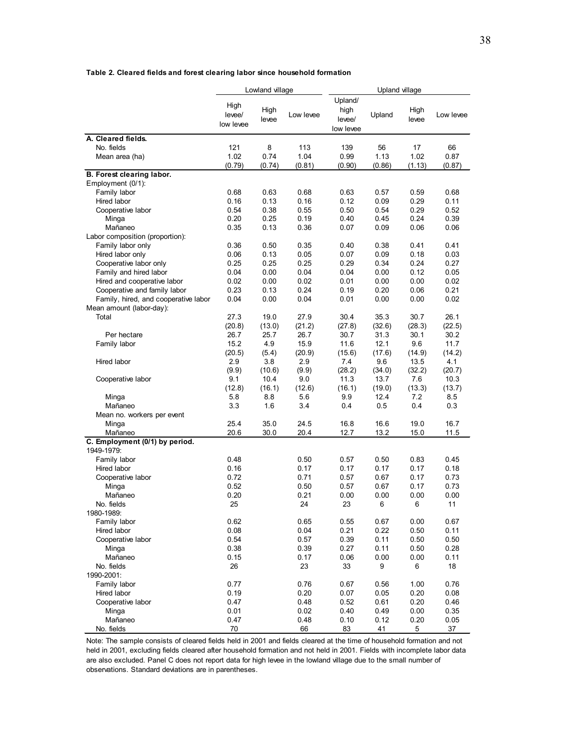|                                           |                             | Lowland village     |                       | Upland village                         |                      |                      |                      |
|-------------------------------------------|-----------------------------|---------------------|-----------------------|----------------------------------------|----------------------|----------------------|----------------------|
|                                           | High<br>levee/<br>low levee | High<br>levee       | Low levee             | Upland/<br>high<br>levee/<br>low levee | Upland               | High<br>levee        | Low levee            |
| A. Cleared fields.                        |                             |                     |                       |                                        |                      |                      |                      |
| No. fields<br>Mean area (ha)              | 121<br>1.02<br>(0.79)       | 8<br>0.74<br>(0.74) | 113<br>1.04<br>(0.81) | 139<br>0.99<br>(0.90)                  | 56<br>1.13<br>(0.86) | 17<br>1.02<br>(1.13) | 66<br>0.87<br>(0.87) |
| B. Forest clearing labor.                 |                             |                     |                       |                                        |                      |                      |                      |
| Employment (0/1):                         |                             |                     |                       |                                        |                      |                      |                      |
| Family labor<br>Hired labor               | 0.68<br>0.16                | 0.63<br>0.13        | 0.68<br>0.16          | 0.63<br>0.12                           | 0.57<br>0.09         | 0.59<br>0.29         | 0.68<br>0.11         |
| Cooperative labor                         | 0.54                        | 0.38                | 0.55                  | 0.50                                   | 0.54                 | 0.29                 | 0.52                 |
| Minga                                     | 0.20                        | 0.25                | 0.19                  | 0.40                                   | 0.45                 | 0.24                 | 0.39                 |
| Mañaneo                                   | 0.35                        | 0.13                | 0.36                  | 0.07                                   | 0.09                 | 0.06                 | 0.06                 |
| Labor composition (proportion):           |                             |                     |                       |                                        |                      |                      |                      |
| Family labor only                         | 0.36                        | 0.50                | 0.35                  | 0.40                                   | 0.38                 | 0.41                 | 0.41                 |
| Hired labor only                          | 0.06                        | 0.13                | 0.05                  | 0.07                                   | 0.09                 | 0.18                 | 0.03                 |
| Cooperative labor only                    | 0.25                        | 0.25                | 0.25                  | 0.29                                   | 0.34                 | 0.24                 | 0.27                 |
| Family and hired labor                    | 0.04                        | 0.00                | 0.04                  | 0.04                                   | 0.00                 | 0.12                 | 0.05                 |
| Hired and cooperative labor               | 0.02                        | 0.00                | 0.02                  | 0.01                                   | 0.00                 | 0.00                 | 0.02                 |
| Cooperative and family labor              | 0.23                        | 0.13                | 0.24                  | 0.19                                   | 0.20                 | 0.06                 | 0.21                 |
| Family, hired, and cooperative labor      | 0.04                        | 0.00                | 0.04                  | 0.01                                   | 0.00                 | 0.00                 | 0.02                 |
| Mean amount (labor-day):<br>Total         | 27.3                        | 19.0                | 27.9                  | 30.4                                   | 35.3                 | 30.7                 | 26.1                 |
|                                           | (20.8)                      | (13.0)              | (21.2)                | (27.8)                                 | (32.6)               | (28.3)               | (22.5)               |
| Per hectare                               | 26.7                        | 25.7                | 26.7                  | 30.7                                   | 31.3                 | 30.1                 | 30.2                 |
| Family labor                              | 15.2                        | 4.9                 | 15.9                  | 11.6                                   | 12.1                 | 9.6                  | 11.7                 |
|                                           | (20.5)                      | (5.4)               | (20.9)                | (15.6)                                 | (17.6)               | (14.9)               | (14.2)               |
| Hired labor                               | 2.9                         | 3.8                 | 2.9                   | 7.4                                    | 9.6                  | 13.5                 | 4.1                  |
|                                           | (9.9)                       | (10.6)              | (9.9)                 | (28.2)                                 | (34.0)               | (32.2)               | (20.7)               |
| Cooperative labor                         | 9.1                         | 10.4                | 9.0                   | 11.3                                   | 13.7                 | 7.6                  | 10.3                 |
|                                           | (12.8)                      | (16.1)              | (12.6)                | (16.1)                                 | (19.0)               | (13.3)               | (13.7)               |
| Minga                                     | 5.8                         | 8.8                 | 5.6                   | 9.9                                    | 12.4                 | 7.2                  | 8.5                  |
| Mañaneo                                   | 3.3                         | 1.6                 | 3.4                   | 0.4                                    | 0.5                  | 0.4                  | 0.3                  |
| Mean no. workers per event                |                             |                     |                       |                                        |                      |                      |                      |
| Minga                                     | 25.4                        | 35.0                | 24.5                  | 16.8                                   | 16.6                 | 19.0                 | 16.7                 |
| Mañaneo<br>C. Employment (0/1) by period. | 20.6                        | 30.0                | 20.4                  | 12.7                                   | 13.2                 | 15.0                 | 11.5                 |
| 1949-1979:                                |                             |                     |                       |                                        |                      |                      |                      |
| Family labor                              | 0.48                        |                     | 0.50                  | 0.57                                   | 0.50                 | 0.83                 | 0.45                 |
| Hired labor                               | 0.16                        |                     | 0.17                  | 0.17                                   | 0.17                 | 0.17                 | 0.18                 |
| Cooperative labor                         | 0.72                        |                     | 0.71                  | 0.57                                   | 0.67                 | 0.17                 | 0.73                 |
| Minga                                     | 0.52                        |                     | 0.50                  | 0.57                                   | 0.67                 | 0.17                 | 0.73                 |
| Mañaneo                                   | 0.20                        |                     | 0.21                  | 0.00                                   | 0.00                 | 0.00                 | 0.00                 |
| No. fields                                | 25                          |                     | 24                    | 23                                     | 6                    | 6                    | 11                   |
| 1980-1989:                                |                             |                     |                       |                                        |                      |                      |                      |
| Family labor                              | 0.62                        |                     | 0.65                  | 0.55                                   | 0.67                 | 0.00                 | 0.67                 |
| Hired labor                               | 0.08                        |                     | 0.04                  | 0.21                                   | 0.22                 | 0.50                 | 0.11                 |
| Cooperative labor<br>Minga                | 0.54<br>0.38                |                     | 0.57<br>0.39          | 0.39<br>0.27                           | 0.11<br>0.11         | 0.50<br>0.50         | 0.50<br>0.28         |
| Mañaneo                                   | 0.15                        |                     | 0.17                  | 0.06                                   | 0.00                 | 0.00                 | 0.11                 |
| No. fields                                | 26                          |                     | 23                    | 33                                     | 9                    | 6                    | 18                   |
| 1990-2001:                                |                             |                     |                       |                                        |                      |                      |                      |
| Family labor                              | 0.77                        |                     | 0.76                  | 0.67                                   | 0.56                 | 1.00                 | 0.76                 |
| Hired labor                               | 0.19                        |                     | 0.20                  | 0.07                                   | 0.05                 | 0.20                 | 0.08                 |
| Cooperative labor                         | 0.47                        |                     | 0.48                  | 0.52                                   | 0.61                 | 0.20                 | 0.46                 |
| Minga                                     | 0.01                        |                     | 0.02                  | 0.40                                   | 0.49                 | 0.00                 | 0.35                 |
| Mañaneo                                   | 0.47                        |                     | 0.48                  | 0.10                                   | 0.12                 | 0.20                 | 0.05                 |
| No. fields                                | 70                          |                     | 66                    | 83                                     | 41                   | 5                    | 37                   |

Note: The sample consists of cleared fields held in 2001 and fields cleared at the time of household formation and not held in 2001, excluding fields cleared after household formation and not held in 2001. Fields with incomplete labor data are also excluded. Panel C does not report data for high levee in the lowland village due to the small number of observations. Standard deviations are in parentheses.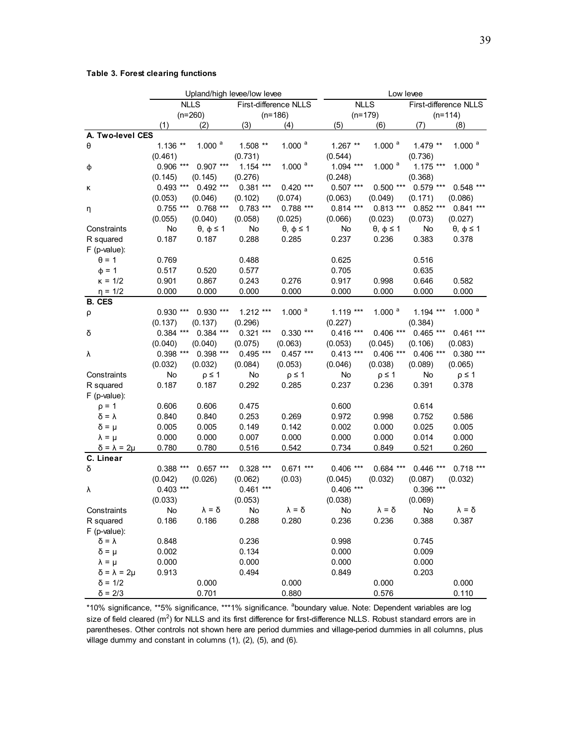#### **Table 3. Forest clearing functions**

|                                | Upland/high levee/low levee          |                          |             |                          | Low levee                            |                    |             |                      |
|--------------------------------|--------------------------------------|--------------------------|-------------|--------------------------|--------------------------------------|--------------------|-------------|----------------------|
|                                | <b>NLLS</b><br>First-difference NLLS |                          |             |                          | <b>NLLS</b><br>First-difference NLLS |                    |             |                      |
|                                |                                      | $(n=260)$                |             | $(n=186)$                | $(n=179)$                            |                    |             | $(n=114)$            |
|                                | (1)                                  | (2)                      | (3)         | (4)                      | (5)                                  | (6)                | (7)         | (8)                  |
| A. Two-level CES               |                                      |                          |             |                          |                                      |                    |             |                      |
| θ                              | $1.136**$                            | 1.000 <sup>a</sup>       | 1.508 **    | $1.000$ <sup>a</sup>     | $1.267**$                            | 1.000 <sup>a</sup> | $1.479**$   | $1.000$ <sup>a</sup> |
|                                | (0.461)                              |                          | (0.731)     |                          | (0.544)                              |                    | (0.736)     |                      |
| φ                              | $0.906$ ***                          | $0.907$ ***              | $1.154$ *** | $1.000$ <sup>a</sup>     | $1.094$ ***                          | 1.000 <sup>a</sup> | $1.175***$  | 1.000 <sup>a</sup>   |
|                                | (0.145)                              | (0.145)                  | (0.276)     |                          | (0.248)                              |                    | (0.368)     |                      |
| κ                              | $0.493$ ***                          | $0.492$ ***              | $0.381***$  | $0.420$ ***              | $0.507$ ***                          | $0.500$ ***        | $0.579$ *** | $0.548$ ***          |
|                                | (0.053)                              | (0.046)                  | (0.102)     | (0.074)                  | (0.063)                              | (0.049)            | (0.171)     | (0.086)              |
| η                              | $0.755$ ***                          | $0.768$ ***              | $0.783$ *** | $0.788$ ***              | $0.814***$                           | $0.813***$         | $0.852$ *** | $0.841***$           |
|                                | (0.055)                              | (0.040)                  | (0.058)     | (0.025)                  | (0.066)                              | (0.023)            | (0.073)     | (0.027)              |
| Constraints                    | No                                   | $\theta$ , $\phi \leq 1$ | No          | $\theta$ , $\phi \leq 1$ | No                                   | $θ$ , $φ ≤ 1$      | No          | $θ$ , $φ ≤ 1$        |
| R squared                      | 0.187                                | 0.187                    | 0.288       | 0.285                    | 0.237                                | 0.236              | 0.383       | 0.378                |
| $F$ (p-value):                 |                                      |                          |             |                          |                                      |                    |             |                      |
| $\theta = 1$                   | 0.769                                |                          | 0.488       |                          | 0.625                                |                    | 0.516       |                      |
| $\phi = 1$                     | 0.517                                | 0.520                    | 0.577       |                          | 0.705                                |                    | 0.635       |                      |
| $K = 1/2$                      | 0.901                                | 0.867                    | 0.243       | 0.276                    | 0.917                                | 0.998              | 0.646       | 0.582                |
| $\eta = 1/2$                   | 0.000                                | 0.000                    | 0.000       | 0.000                    | 0.000                                | 0.000              | 0.000       | 0.000                |
| <b>B. CES</b>                  |                                      |                          |             |                          |                                      |                    |             |                      |
| ρ                              | $0.930$ ***                          | $0.930***$               | $1.212***$  | 1.000 <sup>a</sup>       | $1.119***$                           | 1.000 $a$          | $1.194$ *** | 1.000 <sup>a</sup>   |
|                                | (0.137)                              | (0.137)                  | (0.296)     |                          | (0.227)                              |                    | (0.384)     |                      |
| δ                              | $0.384$ ***                          | $0.384$ ***              | $0.321$ *** | $0.330***$               | $0.416$ ***                          | $0.406$ ***        | $0.465$ *** | $0.461***$           |
|                                | (0.040)                              | (0.040)                  | (0.075)     | (0.063)                  | (0.053)                              | (0.045)            | (0.106)     | (0.083)              |
| λ                              | $0.398$ ***                          | $0.398$ ***              | $0.495***$  | $0.457***$               | $0.413***$                           | $0.406$ ***        | $0.406$ *** | $0.380***$           |
|                                | (0.032)                              | (0.032)                  | (0.084)     | (0.053)                  | (0.046)                              | (0.038)            | (0.089)     | (0.065)              |
| Constraints                    | No                                   | $p \leq 1$               | No          | $p \leq 1$               | No                                   | $p \leq 1$         | No          | $p \leq 1$           |
| R squared                      | 0.187                                | 0.187                    | 0.292       | 0.285                    | 0.237                                | 0.236              | 0.391       | 0.378                |
| $F$ (p-value):                 |                                      |                          |             |                          |                                      |                    |             |                      |
| $p = 1$                        | 0.606                                | 0.606                    | 0.475       |                          | 0.600                                |                    | 0.614       |                      |
| $Q = Y$                        | 0.840                                | 0.840                    | 0.253       | 0.269                    | 0.972                                | 0.998              | 0.752       | 0.586                |
| $\delta = \mu$                 | 0.005                                | 0.005                    | 0.149       | 0.142                    | 0.002                                | 0.000              | 0.025       | 0.005                |
| $\lambda = \mu$                | 0.000                                | 0.000                    | 0.007       | 0.000                    | 0.000                                | 0.000              | 0.014       | 0.000                |
| $\delta$ = $\lambda$ = 2 $\mu$ | 0.780                                | 0.780                    | 0.516       | 0.542                    | 0.734                                | 0.849              | 0.521       | 0.260                |
| C. Linear                      |                                      |                          |             |                          |                                      |                    |             |                      |
| δ                              | $0.388***$                           | $0.657***$               | $0.328$ *** | $0.671***$               | $0.406$ ***                          | $0.684$ ***        | $0.446$ *** | $0.718***$           |
|                                | (0.042)                              | (0.026)                  | (0.062)     | (0.03)                   | (0.045)                              | (0.032)            | (0.087)     | (0.032)              |
| λ                              | $0.403$ ***                          |                          | $0.461***$  |                          | $0.406$ ***                          |                    | $0.396$ *** |                      |
|                                | (0.033)                              |                          | (0.053)     |                          | (0.038)                              |                    | (0.069)     |                      |
| Constraints                    | No                                   | $\lambda = \delta$       | <b>No</b>   | $y = 0$                  | No                                   | $y = 2$            | No          | $y = Q$              |
| R squared                      | 0.186                                | 0.186                    | 0.288       | 0.280                    | 0.236                                | 0.236              | 0.388       | 0.387                |
| $F$ (p-value):                 |                                      |                          |             |                          |                                      |                    |             |                      |
| $\delta = \lambda$             | 0.848                                |                          | 0.236       |                          | 0.998                                |                    | 0.745       |                      |
| $\delta = \mu$                 | 0.002                                |                          | 0.134       |                          | 0.000                                |                    | 0.009       |                      |
| $\lambda = \mu$                | 0.000                                |                          | 0.000       |                          | 0.000                                |                    | 0.000       |                      |
| $\delta = \lambda = 2\mu$      | 0.913                                |                          | 0.494       |                          | 0.849                                |                    | 0.203       |                      |
| $\delta = 1/2$                 |                                      | 0.000                    |             | 0.000                    |                                      | 0.000              |             | 0.000                |
| $\delta = 2/3$                 |                                      | 0.701                    |             | 0.880                    |                                      | 0.576              |             | 0.110                |

\*10% significance, \*\*5% significance, \*\*\*1% significance. <sup>a</sup>boundary value. Note: Dependent variables are log size of field cleared (m<sup>2</sup>) for NLLS and its first difference for first-difference NLLS. Robust standard errors are in parentheses. Other controls not shown here are period dummies and village-period dummies in all columns, plus village dummy and constant in columns (1), (2), (5), and (6).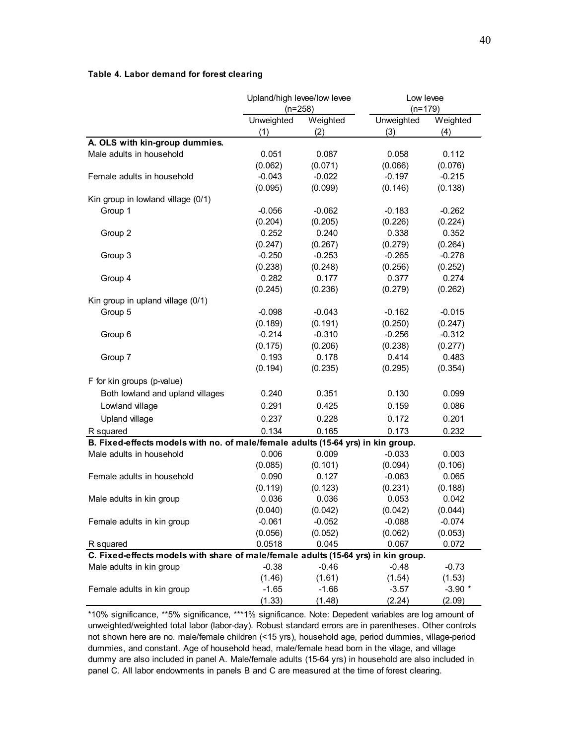#### **Table 4. Labor demand for forest clearing**

|                                                                                    | Upland/high levee/low levee |          | Low levee  |          |  |
|------------------------------------------------------------------------------------|-----------------------------|----------|------------|----------|--|
|                                                                                    | $(n=258)$                   |          | $(n=179)$  |          |  |
|                                                                                    | Unweighted                  | Weighted | Unweighted | Weighted |  |
|                                                                                    | (1)                         | (2)      | (3)        | (4)      |  |
| A. OLS with kin-group dummies.                                                     |                             |          |            |          |  |
| Male adults in household                                                           | 0.051                       | 0.087    | 0.058      | 0.112    |  |
|                                                                                    | (0.062)                     | (0.071)  | (0.066)    | (0.076)  |  |
| Female adults in household                                                         | $-0.043$                    | $-0.022$ | $-0.197$   | $-0.215$ |  |
|                                                                                    | (0.095)                     | (0.099)  | (0.146)    | (0.138)  |  |
| Kin group in lowland village (0/1)                                                 |                             |          |            |          |  |
| Group 1                                                                            | $-0.056$                    | $-0.062$ | $-0.183$   | $-0.262$ |  |
|                                                                                    | (0.204)                     | (0.205)  | (0.226)    | (0.224)  |  |
| Group 2                                                                            | 0.252                       | 0.240    | 0.338      | 0.352    |  |
|                                                                                    | (0.247)                     | (0.267)  | (0.279)    | (0.264)  |  |
| Group 3                                                                            | $-0.250$                    | $-0.253$ | $-0.265$   | $-0.278$ |  |
|                                                                                    | (0.238)                     | (0.248)  | (0.256)    | (0.252)  |  |
| Group 4                                                                            | 0.282                       | 0.177    | 0.377      | 0.274    |  |
|                                                                                    | (0.245)                     | (0.236)  | (0.279)    | (0.262)  |  |
| Kin group in upland village (0/1)                                                  |                             |          |            |          |  |
| Group 5                                                                            | $-0.098$                    | $-0.043$ | $-0.162$   | $-0.015$ |  |
|                                                                                    | (0.189)                     | (0.191)  | (0.250)    | (0.247)  |  |
| Group 6                                                                            | $-0.214$                    | $-0.310$ | $-0.256$   | $-0.312$ |  |
|                                                                                    | (0.175)                     | (0.206)  | (0.238)    | (0.277)  |  |
| Group 7                                                                            | 0.193                       | 0.178    | 0.414      | 0.483    |  |
|                                                                                    | (0.194)                     | (0.235)  | (0.295)    | (0.354)  |  |
| F for kin groups (p-value)                                                         |                             |          |            |          |  |
| Both lowland and upland villages                                                   | 0.240                       | 0.351    | 0.130      | 0.099    |  |
| Lowland village                                                                    | 0.291                       | 0.425    | 0.159      | 0.086    |  |
| Upland village                                                                     | 0.237                       | 0.228    | 0.172      | 0.201    |  |
| R squared                                                                          | 0.134                       | 0.165    | 0.173      | 0.232    |  |
| B. Fixed-effects models with no. of male/female adults (15-64 yrs) in kin group.   |                             |          |            |          |  |
| Male adults in household                                                           | 0.006                       | 0.009    | $-0.033$   | 0.003    |  |
|                                                                                    | (0.085)                     | (0.101)  | (0.094)    | (0.106)  |  |
| Female adults in household                                                         | 0.090                       | 0.127    | $-0.063$   | 0.065    |  |
|                                                                                    | (0.119)                     | (0.123)  | (0.231)    | (0.188)  |  |
| Male adults in kin group                                                           | 0.036                       | 0.036    | 0.053      | 0.042    |  |
|                                                                                    | (0.040)                     | (0.042)  | (0.042)    | (0.044)  |  |
| Female adults in kin group                                                         | $-0.061$                    | $-0.052$ | $-0.088$   | $-0.074$ |  |
|                                                                                    | (0.056)                     | (0.052)  | (0.062)    | (0.053)  |  |
| R squared                                                                          | 0.0518                      | 0.045    | 0.067      | 0.072    |  |
| C. Fixed-effects models with share of male/female adults (15-64 yrs) in kin group. |                             |          |            |          |  |
| Male adults in kin group                                                           | $-0.38$                     | $-0.46$  | $-0.48$    | $-0.73$  |  |
|                                                                                    | (1.46)                      | (1.61)   | (1.54)     | (1.53)   |  |
| Female adults in kin group                                                         | $-1.65$                     | $-1.66$  | $-3.57$    | $-3.90*$ |  |
|                                                                                    | (1.33)                      | (1.48)   | (2.24)     | (2.09)   |  |

\*10% significance, \*\*5% significance, \*\*\*1% significance. Note: Depedent variables are log amount of unweighted/weighted total labor (labor-day). Robust standard errors are in parentheses. Other controls not shown here are no. male/female children (<15 yrs), household age, period dummies, village-period dummies, and constant. Age of household head, male/female head born in the vilage, and village dummy are also included in panel A. Male/female adults (15-64 yrs) in household are also included in panel C. All labor endowments in panels B and C are measured at the time of forest clearing.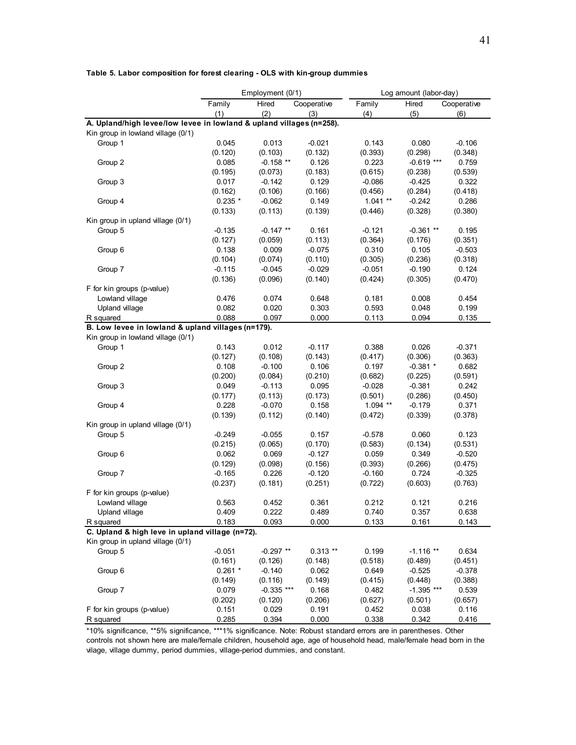#### **Table 5. Labor composition for forest clearing - OLS with kin-group dummies**

|                                                                      | Employment (0/1) |              |             | Log amount (labor-day) |              |             |  |
|----------------------------------------------------------------------|------------------|--------------|-------------|------------------------|--------------|-------------|--|
|                                                                      | Family           | Hired        | Cooperative | Family                 | Hired        | Cooperative |  |
|                                                                      | (1)              | (2)          | (3)         | (4)                    | (5)          | (6)         |  |
| A. Upland/high levee/low levee in lowland & upland villages (n=258). |                  |              |             |                        |              |             |  |
| Kin group in lowland village (0/1)                                   |                  |              |             |                        |              |             |  |
| Group 1                                                              | 0.045            | 0.013        | $-0.021$    | 0.143                  | 0.080        | $-0.106$    |  |
|                                                                      | (0.120)          | (0.103)      | (0.132)     | (0.393)                | (0.298)      | (0.348)     |  |
| Group 2                                                              | 0.085            | $-0.158$ **  | 0.126       | 0.223                  | $-0.619$ *** | 0.759       |  |
|                                                                      | (0.195)          | (0.073)      | (0.183)     | (0.615)                | (0.238)      | (0.539)     |  |
| Group 3                                                              | 0.017            | $-0.142$     | 0.129       | $-0.086$               | $-0.425$     | 0.322       |  |
|                                                                      | (0.162)          | (0.106)      | (0.166)     | (0.456)                | (0.284)      | (0.418)     |  |
| Group 4                                                              | $0.235*$         | $-0.062$     | 0.149       | $1.041**$              | $-0.242$     | 0.286       |  |
|                                                                      | (0.133)          | (0.113)      | (0.139)     | (0.446)                | (0.328)      | (0.380)     |  |
| Kin group in upland village (0/1)                                    |                  |              |             |                        |              |             |  |
| Group 5                                                              | $-0.135$         | $-0.147$ **  | 0.161       | $-0.121$               | $-0.361**$   | 0.195       |  |
|                                                                      | (0.127)          | (0.059)      | (0.113)     | (0.364)                | (0.176)      | (0.351)     |  |
| Group 6                                                              | 0.138            | 0.009        | $-0.075$    | 0.310                  | 0.105        | $-0.503$    |  |
|                                                                      | (0.104)          | (0.074)      | (0.110)     | (0.305)                | (0.236)      | (0.318)     |  |
| Group 7                                                              | $-0.115$         | $-0.045$     | $-0.029$    | $-0.051$               | $-0.190$     | 0.124       |  |
|                                                                      | (0.136)          | (0.096)      | (0.140)     | (0.424)                | (0.305)      | (0.470)     |  |
| F for kin groups (p-value)                                           |                  |              |             |                        |              |             |  |
| Lowland village                                                      | 0.476            | 0.074        | 0.648       | 0.181                  | 0.008        | 0.454       |  |
| Upland village                                                       | 0.082            | 0.020        | 0.303       | 0.593                  | 0.048        | 0.199       |  |
| R squared                                                            | 0.088            | 0.097        | 0.000       | 0.113                  | 0.094        | 0.135       |  |
| B. Low levee in lowland & upland villages (n=179).                   |                  |              |             |                        |              |             |  |
| Kin group in lowland village (0/1)                                   |                  |              |             |                        |              |             |  |
| Group 1                                                              | 0.143            | 0.012        | $-0.117$    | 0.388                  | 0.026        | $-0.371$    |  |
|                                                                      | (0.127)          | (0.108)      | (0.143)     | (0.417)                | (0.306)      | (0.363)     |  |
| Group 2                                                              | 0.108            | $-0.100$     | 0.106       | 0.197                  | $-0.381$ *   | 0.682       |  |
|                                                                      | (0.200)          | (0.084)      | (0.210)     | (0.682)                | (0.225)      | (0.591)     |  |
| Group 3                                                              | 0.049            | $-0.113$     | 0.095       | $-0.028$               | $-0.381$     | 0.242       |  |
|                                                                      | (0.177)          | (0.113)      | (0.173)     | (0.501)                | (0.286)      | (0.450)     |  |
| Group 4                                                              | 0.228            | $-0.070$     | 0.158       | $1.094$ **             | $-0.179$     | 0.371       |  |
|                                                                      | (0.139)          | (0.112)      | (0.140)     | (0.472)                | (0.339)      | (0.378)     |  |
| Kin group in upland village (0/1)                                    |                  |              |             |                        |              |             |  |
| Group 5                                                              | $-0.249$         | $-0.055$     | 0.157       | $-0.578$               | 0.060        | 0.123       |  |
|                                                                      | (0.215)          | (0.065)      | (0.170)     | (0.583)                | (0.134)      | (0.531)     |  |
| Group 6                                                              | 0.062            | 0.069        | $-0.127$    | 0.059                  | 0.349        | $-0.520$    |  |
|                                                                      | (0.129)          | (0.098)      | (0.156)     | (0.393)                | (0.266)      | (0.475)     |  |
| Group 7                                                              | $-0.165$         | 0.226        | $-0.120$    | $-0.160$               | 0.724        | $-0.325$    |  |
|                                                                      | (0.237)          | (0.181)      | (0.251)     | (0.722)                | (0.603)      | (0.763)     |  |
| F for kin groups (p-value)                                           |                  |              |             |                        |              |             |  |
| Lowland village                                                      | 0.563            | 0.452        | 0.361       | 0.212                  | 0.121        | 0.216       |  |
| Upland village                                                       | 0.409            | 0.222        | 0.489       | 0.740                  | 0.357        | 0.638       |  |
| R squared                                                            | 0.183            | 0.093        | 0.000       | 0.133                  | 0.161        | 0.143       |  |
| C. Upland & high leve in upland village (n=72).                      |                  |              |             |                        |              |             |  |
| Kin group in upland village (0/1)                                    |                  |              |             |                        |              |             |  |
| Group 5                                                              | $-0.051$         | $-0.297$ **  | $0.313**$   | 0.199                  | $-1.116**$   | 0.634       |  |
|                                                                      | (0.161)          | (0.126)      | (0.148)     | (0.518)                | (0.489)      | (0.451)     |  |
| Group 6                                                              | $0.261$ *        | -0.140       | 0.062       | 0.649                  | $-0.525$     | $-0.378$    |  |
|                                                                      | (0.149)          | (0.116)      | (0.149)     | (0.415)                | (0.448)      | (0.388)     |  |
| Group 7                                                              | 0.079            | $-0.335$ *** | 0.168       | 0.482                  | $-1.395$ *** | 0.539       |  |
|                                                                      | (0.202)          | (0.120)      | (0.206)     | (0.627)                | (0.501)      | (0.657)     |  |
| F for kin groups (p-value)                                           | 0.151            | 0.029        | 0.191       | 0.452                  | 0.038        | 0.116       |  |
| R squared                                                            | 0.285            | 0.394        | 0.000       | 0.338                  | 0.342        | 0.416       |  |

\*10% significance, \*\*5% significance, \*\*\*1% significance. Note: Robust standard errors are in parentheses. Other controls not shown here are male/female children, household age, age of household head, male/female head born in the vilage, village dummy, period dummies, village-period dummies, and constant.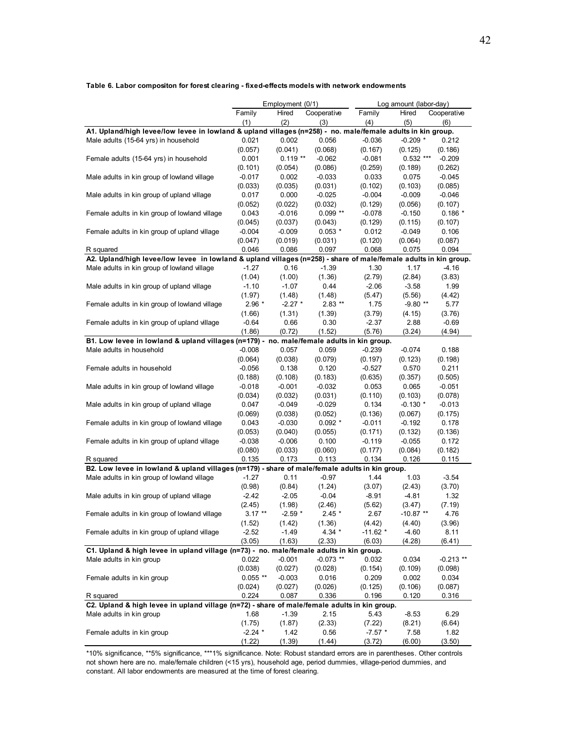|                                                                                                                  |                  | Employment (0/1) |                  | Log amount (labor-day) |                  |                  |
|------------------------------------------------------------------------------------------------------------------|------------------|------------------|------------------|------------------------|------------------|------------------|
|                                                                                                                  | Family           | Hired            | Cooperative      | Family                 | Hired            | Cooperative      |
|                                                                                                                  | (1)              | (2)              | (3)              | (4)                    | (5)              | (6)              |
| A1. Upland/high levee/low levee in lowland & upland villages (n=258) - no. male/female adults in kin group.      |                  |                  |                  |                        |                  |                  |
| Male adults (15-64 yrs) in household                                                                             | 0.021            | 0.002            | 0.056            | $-0.036$               | $-0.209$ *       | 0.212            |
|                                                                                                                  | (0.057)          | (0.041)          | (0.068)          | (0.167)                | (0.125)          | (0.186)          |
| Female adults (15-64 yrs) in household                                                                           | 0.001            | $0.119**$        | $-0.062$         | $-0.081$               | $0.532$ ***      | $-0.209$         |
|                                                                                                                  | (0.101)          | (0.054)          | (0.086)          | (0.259)                | (0.189)          | (0.262)          |
| Male adults in kin group of lowland village                                                                      | $-0.017$         | 0.002            | $-0.033$         | 0.033                  | 0.075            | $-0.045$         |
|                                                                                                                  | (0.033)          | (0.035)          | (0.031)          | (0.102)                | (0.103)          | (0.085)          |
| Male adults in kin group of upland village                                                                       | 0.017            | 0.000            | $-0.025$         | $-0.004$               | $-0.009$         | $-0.046$         |
|                                                                                                                  | (0.052)          | (0.022)          | (0.032)          | (0.129)                | (0.056)          | (0.107)          |
| Female adults in kin group of lowland village                                                                    | 0.043            | $-0.016$         | $0.099**$        | $-0.078$               | $-0.150$         | $0.186*$         |
|                                                                                                                  | (0.045)          | (0.037)          | (0.043)          | (0.129)                | (0.115)          | (0.107)          |
| Female adults in kin group of upland village                                                                     | $-0.004$         | $-0.009$         | $0.053*$         | 0.012                  | $-0.049$         | 0.106            |
|                                                                                                                  | (0.047)          | (0.019)          | (0.031)          | (0.120)                | (0.064)          | (0.087)          |
| R squared                                                                                                        | 0.046            | 0.086            | 0.097            | 0.068                  | 0.075            | 0.094            |
| A2. Upland/high levee/low levee in lowland & upland villages (n=258) - share of male/female adults in kin group. |                  |                  |                  |                        |                  |                  |
| Male adults in kin group of lowland village                                                                      | $-1.27$          | 0.16             | $-1.39$          | 1.30                   | 1.17             | $-4.16$          |
|                                                                                                                  | (1.04)           | (1.00)           | (1.36)           | (2.79)                 | (2.84)           | (3.83)           |
| Male adults in kin group of upland village                                                                       | $-1.10$          | $-1.07$          | 0.44             | $-2.06$                | $-3.58$          | 1.99             |
|                                                                                                                  | (1.97)           | (1.48)           | (1.48)           | (5.47)                 | (5.56)           | (4.42)           |
| Female adults in kin group of lowland village                                                                    | $2.96*$          | $-2.27$ *        | $2.83**$         | 1.75                   | $-9.80**$        | 5.77             |
|                                                                                                                  | (1.66)           | (1.31)           | (1.39)           | (3.79)                 | (4.15)           | (3.76)           |
| Female adults in kin group of upland village                                                                     | $-0.64$          | 0.66             | 0.30             | $-2.37$                | 2.88             | $-0.69$          |
|                                                                                                                  | (1.86)           | (0.72)           | (1.52)           | (5.76)                 | (3.24)           | (4.94)           |
| B1. Low levee in lowland & upland villages (n=179) - no. male/female adults in kin group.                        |                  |                  |                  |                        |                  |                  |
| Male adults in household                                                                                         | $-0.008$         | 0.057            | 0.059            | $-0.239$               | $-0.074$         | 0.188            |
|                                                                                                                  | (0.064)          | (0.038)          | (0.079)          | (0.197)                | (0.123)          | (0.198)          |
| Female adults in household                                                                                       | $-0.056$         | 0.138            | 0.120            | $-0.527$               | 0.570            | 0.211            |
|                                                                                                                  | (0.188)          | (0.108)          | (0.183)          | (0.635)                | (0.357)          | (0.505)          |
| Male adults in kin group of lowland village                                                                      | $-0.018$         | $-0.001$         | $-0.032$         | 0.053                  | 0.065            | $-0.051$         |
|                                                                                                                  | (0.034)          | (0.032)          | (0.031)          | (0.110)                | (0.103)          | (0.078)          |
| Male adults in kin group of upland village                                                                       | 0.047            | $-0.049$         | $-0.029$         | 0.134                  | $-0.130$ *       | $-0.013$         |
|                                                                                                                  | (0.069)          | (0.038)          | (0.052)          | (0.136)                | (0.067)          | (0.175)          |
| Female adults in kin group of lowland village                                                                    | 0.043            | $-0.030$         | $0.092*$         | $-0.011$               | $-0.192$         | 0.178            |
|                                                                                                                  |                  |                  |                  |                        |                  | (0.136)          |
|                                                                                                                  | (0.053)          | (0.040)          | (0.055)          | (0.171)                | (0.132)          |                  |
| Female adults in kin group of upland village                                                                     | $-0.038$         | $-0.006$         | 0.100            | $-0.119$               | $-0.055$         | 0.172            |
|                                                                                                                  | (0.080)<br>0.135 | (0.033)<br>0.173 | (0.060)<br>0.113 | (0.177)<br>0.134       | (0.084)<br>0.126 | (0.182)<br>0.115 |
| R squared<br>B2. Low levee in lowland & upland villages (n=179) - share of male/female adults in kin group.      |                  |                  |                  |                        |                  |                  |
| Male adults in kin group of lowland village                                                                      | $-1.27$          | 0.11             | $-0.97$          | 1.44                   | 1.03             | $-3.54$          |
|                                                                                                                  | (0.98)           | (0.84)           | (1.24)           | (3.07)                 | (2.43)           | (3.70)           |
| Male adults in kin group of upland village                                                                       | $-2.42$          | $-2.05$          | $-0.04$          | $-8.91$                | $-4.81$          | 1.32             |
|                                                                                                                  | (2.45)           | (1.98)           | (2.46)           | (5.62)                 | (3.47)           | (7.19)           |
| Female adults in kin group of lowland village                                                                    | $3.17**$         | $-2.59$ *        | $2.45*$          | 2.67                   | $-10.87**$       | 4.76             |
|                                                                                                                  | (1.52)           | (1.42)           | (1.36)           | (4.42)                 | (4.40)           | (3.96)           |
| Female adults in kin group of upland village                                                                     | $-2.52$          | $-1.49$          | $4.34*$          | $-11.62$ *             | $-4.60$          | 8.11             |
|                                                                                                                  | (3.05)           | (1.63)           | (2.33)           | (6.03)                 | (4.28)           | (6.41)           |
| C1. Upland & high levee in upland village (n=73) - no. male/female adults in kin group.                          |                  |                  |                  |                        |                  |                  |
| Male adults in kin group                                                                                         | 0.022            | $-0.001$         | $-0.073$ **      | 0.032                  | 0.034            | $-0.213$ **      |
|                                                                                                                  | (0.038)          | (0.027)          | (0.028)          | (0.154)                | (0.109)          | (0.098)          |
| Female adults in kin group                                                                                       | $0.055**$        | $-0.003$         | 0.016            | 0.209                  | 0.002            | 0.034            |
|                                                                                                                  | (0.024)          | (0.027)          | (0.026)          | (0.125)                | (0.106)          | (0.087)          |
| R squared                                                                                                        | 0.224            | 0.087            | 0.336            | 0.196                  | 0.120            | 0.316            |
| C2. Upland & high levee in upland village (n=72) - share of male/female adults in kin group.                     |                  |                  |                  |                        |                  |                  |
| Male adults in kin group                                                                                         | 1.68             | $-1.39$          | 2.15             | 5.43                   | $-8.53$          | 6.29             |
|                                                                                                                  | (1.75)           | (1.87)           | (2.33)           | (7.22)                 | (8.21)           | (6.64)           |
| Female adults in kin group                                                                                       | $-2.24$ *        | 1.42             | 0.56             | $-7.57$ *              | 7.58             | 1.82             |
|                                                                                                                  | (1.22)           | (1.39)           | (1.44)           |                        | (6.00)           | (3.50)           |
|                                                                                                                  |                  |                  |                  | (3.72)                 |                  |                  |

**Table 6. Labor compositon for forest clearing - fixed-effects models with network endowments**

\*10% significance, \*\*5% significance, \*\*\*1% significance. Note: Robust standard errors are in parentheses. Other controls not shown here are no. male/female children (<15 yrs), household age, period dummies, village-period dummies, and constant. All labor endowments are measured at the time of forest clearing.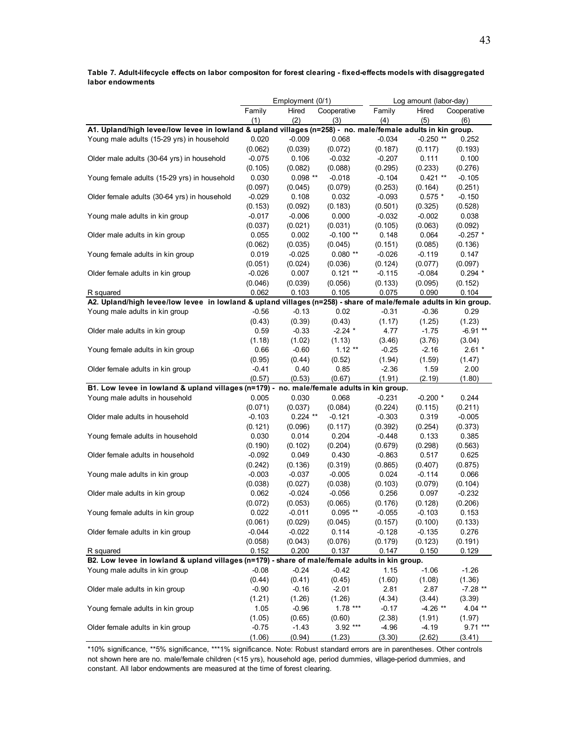**Table 7. Adult-lifecycle effects on labor compositon for forest clearing - fixed-effects models with disaggregated labor endowments**

|                                                                                                                  | Employment (0/1)<br>Log amount (labor-day) |            |             |          |             |             |
|------------------------------------------------------------------------------------------------------------------|--------------------------------------------|------------|-------------|----------|-------------|-------------|
|                                                                                                                  | Family                                     | Hired      | Cooperative | Family   | Hired       | Cooperative |
|                                                                                                                  | (1)                                        | (2)        | (3)         | (4)      | (5)         | (6)         |
| A1. Upland/high levee/low levee in lowland & upland villages (n=258) - no. male/female adults in kin group.      |                                            |            |             |          |             |             |
| Young male adults (15-29 yrs) in household                                                                       | 0.020                                      | $-0.009$   | 0.068       | $-0.034$ | $-0.250$ ** | 0.252       |
|                                                                                                                  | (0.062)                                    | (0.039)    | (0.072)     | (0.187)  | (0.117)     | (0.193)     |
| Older male adults (30-64 yrs) in household                                                                       | $-0.075$                                   | 0.106      | $-0.032$    | $-0.207$ | 0.111       | 0.100       |
|                                                                                                                  | (0.105)                                    | (0.082)    | (0.088)     | (0.295)  | (0.233)     | (0.276)     |
| Young female adults (15-29 yrs) in household                                                                     | 0.030                                      | $0.098**$  | $-0.018$    | $-0.104$ | $0.421**$   | $-0.105$    |
|                                                                                                                  | (0.097)                                    | (0.045)    | (0.079)     | (0.253)  | (0.164)     | (0.251)     |
| Older female adults (30-64 yrs) in household                                                                     | $-0.029$                                   | 0.108      | 0.032       | $-0.093$ | $0.575*$    | $-0.150$    |
|                                                                                                                  | (0.153)                                    | (0.092)    | (0.183)     | (0.501)  | (0.325)     | (0.528)     |
| Young male adults in kin group                                                                                   | $-0.017$                                   | $-0.006$   | 0.000       | $-0.032$ | $-0.002$    | 0.038       |
|                                                                                                                  | (0.037)                                    | (0.021)    | (0.031)     | (0.105)  | (0.063)     | (0.092)     |
| Older male adults in kin group                                                                                   | 0.055                                      | 0.002      | $-0.100**$  | 0.148    | 0.064       | $-0.257$ *  |
|                                                                                                                  | (0.062)                                    | (0.035)    | (0.045)     | (0.151)  | (0.085)     | (0.136)     |
| Young female adults in kin group                                                                                 | 0.019                                      | $-0.025$   | $0.080**$   | $-0.026$ | $-0.119$    | 0.147       |
|                                                                                                                  | (0.051)                                    | (0.024)    | (0.036)     | (0.124)  | (0.077)     | (0.097)     |
| Older female adults in kin group                                                                                 | $-0.026$                                   | 0.007      | $0.121**$   | $-0.115$ | $-0.084$    | $0.294*$    |
|                                                                                                                  | (0.046)                                    | (0.039)    | (0.056)     | (0.133)  | (0.095)     | (0.152)     |
| R squared                                                                                                        | 0.062                                      | 0.103      | 0.105       | 0.075    | 0.090       | 0.104       |
| A2. Upland/high levee/low levee in lowland & upland villages (n=258) - share of male/female adults in kin group. |                                            |            |             |          |             |             |
| Young male adults in kin group                                                                                   | $-0.56$                                    | $-0.13$    | 0.02        | $-0.31$  | $-0.36$     | 0.29        |
|                                                                                                                  | (0.43)                                     | (0.39)     | (0.43)      | (1.17)   | (1.25)      | (1.23)      |
| Older male adults in kin group                                                                                   | 0.59                                       | $-0.33$    | $-2.24$ *   | 4.77     | $-1.75$     | $-6.91**$   |
|                                                                                                                  | (1.18)                                     | (1.02)     | (1.13)      | (3.46)   | (3.76)      | (3.04)      |
| Young female adults in kin group                                                                                 | 0.66                                       | $-0.60$    | $1.12**$    | $-0.25$  | $-2.16$     | $2.61*$     |
|                                                                                                                  | (0.95)                                     | (0.44)     | (0.52)      | (1.94)   | (1.59)      | (1.47)      |
| Older female adults in kin group                                                                                 | $-0.41$                                    | 0.40       | 0.85        | $-2.36$  | 1.59        | 2.00        |
|                                                                                                                  | (0.57)                                     | (0.53)     | (0.67)      | (1.91)   | (2.19)      | (1.80)      |
| B1. Low levee in lowland & upland villages (n=179) - no. male/female adults in kin group.                        |                                            |            |             |          |             |             |
| Young male adults in household                                                                                   | 0.005                                      | 0.030      | 0.068       | $-0.231$ | $-0.200*$   | 0.244       |
|                                                                                                                  | (0.071)                                    | (0.037)    | (0.084)     | (0.224)  | (0.115)     | (0.211)     |
| Older male adults in household                                                                                   | $-0.103$                                   | $0.224$ ** | $-0.121$    | $-0.303$ | 0.319       | $-0.005$    |
|                                                                                                                  | (0.121)                                    | (0.096)    | (0.117)     | (0.392)  | (0.254)     | (0.373)     |
| Young female adults in household                                                                                 | 0.030                                      | 0.014      | 0.204       | $-0.448$ | 0.133       | 0.385       |
|                                                                                                                  | (0.190)                                    | (0.102)    | (0.204)     | (0.679)  | (0.298)     | (0.563)     |
| Older female adults in household                                                                                 | $-0.092$                                   | 0.049      | 0.430       | $-0.863$ | 0.517       | 0.625       |
|                                                                                                                  | (0.242)                                    | (0.136)    | (0.319)     | (0.865)  | (0.407)     | (0.875)     |
| Young male adults in kin group                                                                                   | $-0.003$                                   | $-0.037$   | $-0.005$    | 0.024    | $-0.114$    | 0.066       |
|                                                                                                                  | (0.038)                                    | (0.027)    | (0.038)     | (0.103)  | (0.079)     | (0.104)     |
| Older male adults in kin group                                                                                   | 0.062                                      | $-0.024$   | $-0.056$    | 0.256    | 0.097       | $-0.232$    |
|                                                                                                                  | (0.072)                                    | (0.053)    | (0.065)     | (0.176)  | (0.128)     | (0.206)     |
| Young female adults in kin group                                                                                 | 0.022                                      | $-0.011$   | $0.095$ **  | $-0.055$ | $-0.103$    | 0.153       |
|                                                                                                                  | (0.061)                                    | (0.029)    | (0.045)     | (0.157)  | (0.100)     | (0.133)     |
| Older female adults in kin group                                                                                 | $-0.044$                                   | $-0.022$   | 0.114       | $-0.128$ | $-0.135$    | 0.276       |
|                                                                                                                  | (0.058)                                    | (0.043)    | (0.076)     | (0.179)  | (0.123)     | (0.191)     |
| R squared                                                                                                        | 0.152                                      | 0.200      | 0.137       | 0.147    | 0.150       | 0.129       |
| B2. Low levee in lowland & upland villages (n=179) - share of male/female adults in kin group.                   |                                            |            |             |          |             |             |
| Young male adults in kin group                                                                                   | $-0.08$                                    | $-0.24$    | $-0.42$     | 1.15     | $-1.06$     | $-1.26$     |
|                                                                                                                  | (0.44)                                     | (0.41)     | (0.45)      | (1.60)   | (1.08)      | (1.36)      |
| Older male adults in kin group                                                                                   | $-0.90$                                    | $-0.16$    | $-2.01$     | 2.81     | 2.87        | $-7.28$ **  |
|                                                                                                                  | (1.21)                                     | (1.26)     | (1.26)      | (4.34)   | (3.44)      | (3.39)      |
| Young female adults in kin group                                                                                 | 1.05                                       | $-0.96$    | $1.78***$   | $-0.17$  | $-4.26$ **  | $4.04***$   |
|                                                                                                                  | (1.05)                                     | (0.65)     | (0.60)      | (2.38)   | (1.91)      | (1.97)      |
| Older female adults in kin group                                                                                 | $-0.75$                                    | $-1.43$    | 3.92 ***    | $-4.96$  | $-4.19$     | $9.71***$   |
|                                                                                                                  | (1.06)                                     | (0.94)     | (1.23)      | (3.30)   | (2.62)      | (3.41)      |

\*10% significance, \*\*5% significance, \*\*\*1% significance. Note: Robust standard errors are in parentheses. Other controls not shown here are no. male/female children (<15 yrs), household age, period dummies, village-period dummies, and constant. All labor endowments are measured at the time of forest clearing.